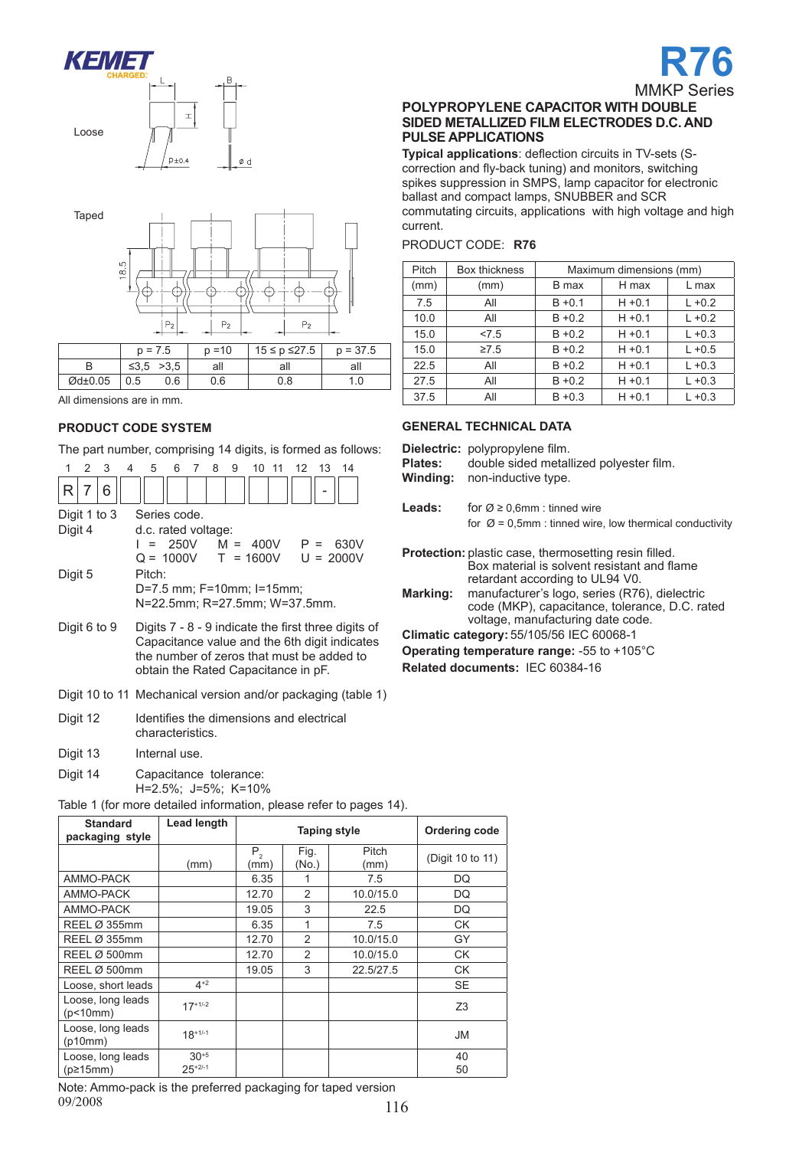





### **Product code system**

The part number, comprising 14 digits, is formed as follows:

|         | 2 | -3           | ◢ | 5                   | 6 | 8 | 9 | $10 \t11$                 | $12 \quad 13$                 | 14                                                    |  |
|---------|---|--------------|---|---------------------|---|---|---|---------------------------|-------------------------------|-------------------------------------------------------|--|
| R       | 7 | 6            |   |                     |   |   |   |                           |                               |                                                       |  |
|         |   | Digit 1 to 3 |   | Series code.        |   |   |   |                           |                               |                                                       |  |
| Digit 4 |   |              |   | d.c. rated voltage: |   |   |   |                           |                               |                                                       |  |
|         |   |              |   |                     |   |   |   |                           | I = 250V M = 400V P =         | 630V                                                  |  |
|         |   |              |   |                     |   |   |   |                           |                               | $Q = 1000V$ T = 1600V U = 2000V                       |  |
| Digit 5 |   |              |   | Pitch:              |   |   |   |                           |                               |                                                       |  |
|         |   |              |   |                     |   |   |   | D=7.5 mm; F=10mm; I=15mm; |                               |                                                       |  |
|         |   |              |   |                     |   |   |   |                           | N=22.5mm; R=27.5mm; W=37.5mm. |                                                       |  |
|         |   |              |   |                     |   |   |   |                           |                               |                                                       |  |
|         |   | Digit 6 to 9 |   |                     |   |   |   |                           |                               | Digits $7 - 8 - 9$ indicate the first three digits of |  |
|         |   |              |   |                     |   |   |   |                           |                               |                                                       |  |

- Capacitance value and the 6th digit indicates the number of zeros that must be added to obtain the Rated Capacitance in pF.
- Digit 10 to 11 Mechanical version and/or packaging (table 1)
- Digit 12 Identifies the dimensions and electrical characteristics.
- Digit 13 Internal use.
- Digit 14 Capacitance tolerance: H=2.5%; J=5%; K=10%

Table 1 (for more detailed information, please refer to pages 14).

| <b>Standard</b><br>packaging style | Lead length |                 | <b>Taping style</b> | <b>Ordering code</b> |                  |
|------------------------------------|-------------|-----------------|---------------------|----------------------|------------------|
|                                    | (mm)        | $P_{2}$<br>(mm) | Fig.<br>(No.)       | Pitch<br>(mm)        | (Digit 10 to 11) |
| AMMO-PACK                          |             | 6.35            | 1                   | 7.5                  | DQ               |
| AMMO-PACK                          |             | 12.70           | 2                   | 10.0/15.0            | DQ               |
| AMMO-PACK                          |             | 19.05           | 3                   | 22.5                 | DQ               |
| REEL Ø 355mm                       |             | 6.35            | 1                   | 7.5                  | <b>CK</b>        |
| REEL Ø 355mm                       |             | 12.70           | 2                   | 10.0/15.0            | GY               |
| REEL Ø 500mm                       |             | 12.70           | $\mathfrak{p}$      | 10.0/15.0            | <b>CK</b>        |
| REEL Ø 500mm                       |             | 19.05           | 3                   | 22.5/27.5            | <b>CK</b>        |
| Loose, short leads                 | $4+2$       |                 |                     |                      | <b>SE</b>        |
| Loose, long leads<br>(p<10mm)      | $17+1/-2$   |                 |                     |                      | Z <sub>3</sub>   |
| Loose, long leads<br>(p10mm)       | $18+1/-1$   |                 |                     |                      | <b>JM</b>        |
| Loose, long leads                  | $30^{+5}$   |                 |                     |                      | 40               |
| $(p\geq 15$ mm $)$                 | $25+2/-1$   |                 |                     |                      | 50               |

09/2008 116 Note: Ammo-pack is the preferred packaging for taped version 09/2008

#### **polyPROPYLENE capacitor WITH DOUBLE SIDED METALLIZED FILM ELECTRODES D.C. AND PULSE APPLICATIONS**

**Typical applications**: deflection circuits in TV-sets (Scorrection and fly-back tuning) and monitors, switching spikes suppression in SMPS, lamp capacitor for electronic ballast and compact lamps, SNUBBER and SCR commutating circuits, applications with high voltage and high current.

| <b>PRODUCT CODE: R76</b> |  |  |
|--------------------------|--|--|
|--------------------------|--|--|

| Pitch | Box thickness |           | Maximum dimensions (mm) |           |  |  |  |  |  |
|-------|---------------|-----------|-------------------------|-----------|--|--|--|--|--|
| (mm)  | (mm)          | B max     | H max                   | L max     |  |  |  |  |  |
| 7.5   | All           | $B + 0.1$ | $H + 0.1$               | $L + 0.2$ |  |  |  |  |  |
| 10.0  | All           | $B + 0.2$ | $H + 0.1$               | $L + 0.2$ |  |  |  |  |  |
| 15.0  | 27.5          | $B + 0.2$ | $H + 0.1$               | $L + 0.3$ |  |  |  |  |  |
| 15.0  | $\geq 7.5$    | $B + 0.2$ | $H + 0.1$               | $L + 0.5$ |  |  |  |  |  |
| 22.5  | All           | $B + 0.2$ | $H + 0.1$               | $L + 0.3$ |  |  |  |  |  |
| 27.5  | All           | $B + 0.2$ | $H + 0.1$               | $L + 0.3$ |  |  |  |  |  |
| 37.5  | All           | $B + 0.3$ | $H + 0.1$               | $L + 0.3$ |  |  |  |  |  |

#### **GENERAL TECHNICAL DATA**

|          | <b>Dielectric:</b> polypropylene film.  |
|----------|-----------------------------------------|
| Plates:  | double sided metallized polyester film. |
| Winding: | non-inductive type.                     |

| Leads: | for $\varnothing \geq 0.6$ mm : tinned wire                         |
|--------|---------------------------------------------------------------------|
|        | for $\varnothing$ = 0,5mm : tinned wire, low thermical conductivity |

| <b>Protection:</b> plastic case, thermosetting resin filled. |
|--------------------------------------------------------------|
| Box material is solvent resistant and flame                  |
| retardant according to UL94 V0.                              |
| - ■■ ショート・ショー・ショー・ショー ショー・ショー ショー・ショー イローマン パンパー けいせいしゅうし    |

**Marking:** manufacturer's logo, series (R76), dielectric code (MKP), capacitance, tolerance, D.C. rated voltage, manufacturing date code.

**Climatic category:** 55/105/56 IEC 60068-1

**Operating temperature range:** -55 to +105°C

**Related documents:** IEC 60384-16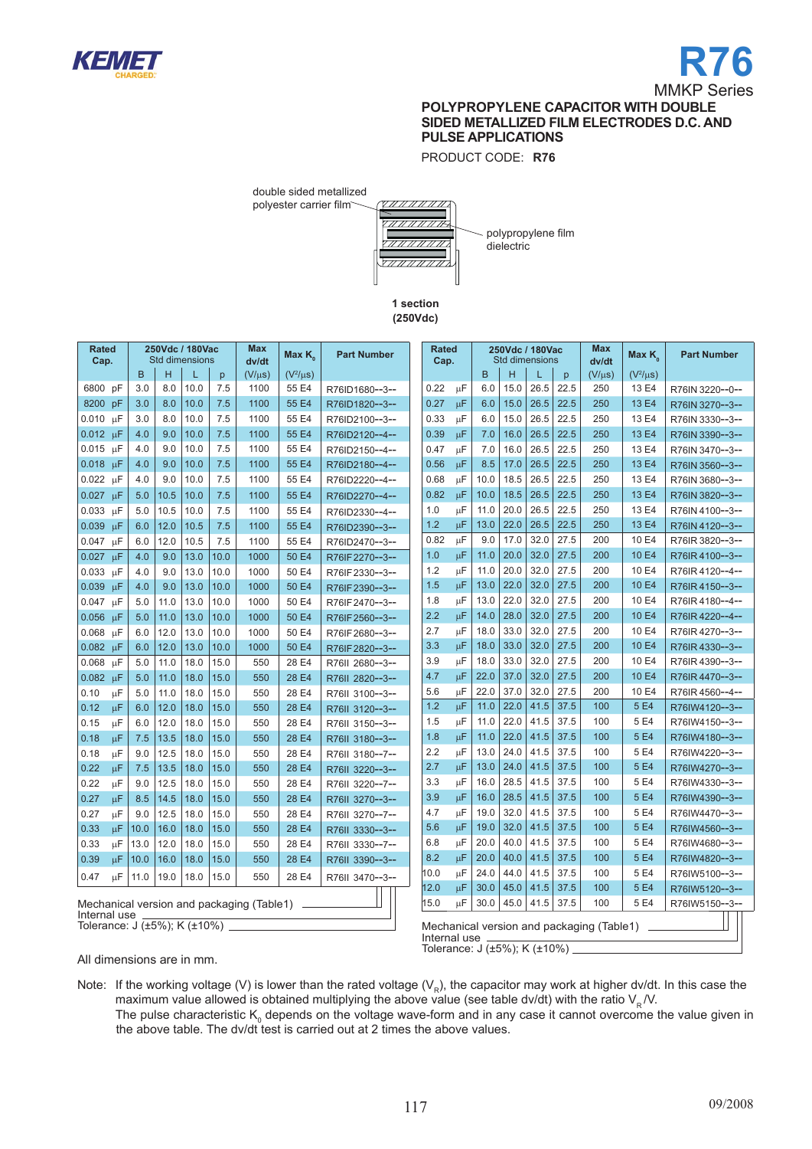

PRODUCT CODE: **R76**



polyester carrier film

polypropylene film dielectric

**1 section (250Vdc)**

| <b>Rated</b><br>Cap.                                                                              |      |                                                                             | 250Vdc / 180Vac<br><b>Std dimensions</b> |      | <b>Max</b><br>dv/dt | Max K         | <b>Part Number</b> | <b>Rated</b><br>Cap. |    |      | 250Vdc / 180Vac<br>Std dimensions |      |      | <b>Max</b><br>dv/dt | Max K <sub>o</sub> | <b>Part Number</b> |
|---------------------------------------------------------------------------------------------------|------|-----------------------------------------------------------------------------|------------------------------------------|------|---------------------|---------------|--------------------|----------------------|----|------|-----------------------------------|------|------|---------------------|--------------------|--------------------|
|                                                                                                   | B    | н                                                                           | L                                        | p.   | $(V/\mu s)$         | $(V^2/\mu s)$ |                    |                      |    | B    | H                                 | L    | p    | $(V/\mu s)$         | $(V^2/\mu s)$      |                    |
| 6800 pF                                                                                           | 3.0  | 8.0                                                                         | 10.0                                     | 7.5  | 1100                | 55 E4         | R76ID1680--3--     | 0.22                 | μF | 6.0  | 15.0                              | 26.5 | 22.5 | 250                 | 13 E4              | R76IN 3220--0--    |
| 8200 pF                                                                                           | 3.0  | 8.0                                                                         | 10.0                                     | 7.5  | 1100                | 55 E4         | R76ID1820--3--     | 0.27                 | μF | 6.0  | 15.0                              | 26.5 | 22.5 | 250                 | 13 E4              | R76IN 3270--3--    |
| $0.010 \text{ }\mu\text{F}$                                                                       | 3.0  | 8.0                                                                         | 10.0                                     | 7.5  | 1100                | 55 E4         | R76ID2100--3--     | 0.33                 | μF | 6.0  | 15.0                              | 26.5 | 22.5 | 250                 | 13 E4              | R76IN 3330--3--    |
| $0.012 \mu F$                                                                                     | 4.0  | 9.0                                                                         | 10.0                                     | 7.5  | 1100                | 55 E4         | R76ID2120--4--     | 0.39                 | μF | 7.0  | 16.0                              | 26.5 | 22.5 | 250                 | 13 E4              | R76IN 3390--3--    |
| $0.015 \mu F$                                                                                     | 4.0  | 9.0                                                                         | 10.0                                     | 7.5  | 1100                | 55 E4         | R76ID2150--4--     | 0.47                 | μF | 7.0  | 16.0                              | 26.5 | 22.5 | 250                 | 13 E4              | R76IN 3470--3--    |
| $0.018$ uF                                                                                        | 4.0  | 9.0                                                                         | 10.0                                     | 7.5  | 1100                | 55 E4         | R76ID2180--4--     | 0.56                 | μF | 8.5  | 17.0                              | 26.5 | 22.5 | 250                 | 13 E4              | R76IN 3560--3--    |
| $0.022 \mu F$                                                                                     | 4.0  | 9.0                                                                         | 10.0                                     | 7.5  | 1100                | 55 E4         | R76ID2220--4--     | 0.68                 | μF | 10.0 | 18.5                              | 26.5 | 22.5 | 250                 | 13 E4              | R76IN 3680--3--    |
| 0.027 µF                                                                                          | 5.0  | 10.5                                                                        | 10.0                                     | 7.5  | 1100                | 55 E4         | R76ID2270--4--     | 0.82                 | μF | 10.0 | 18.5                              | 26.5 | 22.5 | 250                 | 13 E4              | R76IN 3820--3--    |
| μF<br>0.033                                                                                       | 5.0  | 10.5                                                                        | 10.0                                     | 7.5  | 1100                | 55 E4         | R76ID2330--4--     | 1.0                  | μF | 11.0 | 20.0                              | 26.5 | 22.5 | 250                 | 13 E4              | R76IN 4100--3--    |
| 0.039<br>$\mu$ F                                                                                  | 6.0  | 12.0                                                                        | 10.5                                     | 7.5  | 1100                | 55 E4         | R76ID2390--3--     | 1.2                  | μF | 13.0 | 22.0                              | 26.5 | 22.5 | 250                 | 13 E4              | R76IN 4120--3--    |
| μF<br>0.047                                                                                       | 6.0  | 12.0                                                                        | 10.5                                     | 7.5  | 1100                | 55 E4         | R76ID2470--3--     | 0.82                 | μF | 9.0  | 17.0                              | 32.0 | 27.5 | 200                 | 10 E4              | R76IR 3820--3--    |
| 0.027<br>-uF                                                                                      | 4.0  | 9.0                                                                         | 13.0                                     | 10.0 | 1000                | 50 E4         | R76IF2270--3--     | 1.0                  | μF | 11.0 | 20.0                              | 32.0 | 27.5 | 200                 | 10 E4              | R76IR4100--3--     |
| μF<br>0.033                                                                                       | 4.0  | 9.0                                                                         | 13.0                                     | 10.0 | 1000                | 50 E4         | R76IF2330--3--     | 1.2                  | μF | 11.0 | 20.0                              | 32.0 | 27.5 | 200                 | 10 E4              | R76IR 4120--4--    |
| 0.039<br>uF                                                                                       | 4.0  | 9.0                                                                         | 13.0                                     | 10.0 | 1000                | 50 E4         | R76IF2390--3--     | 1.5                  | μF | 13.0 | 22.0                              | 32.0 | 27.5 | 200                 | 10 E4              | R76IR4150--3--     |
| 0.047<br>μF                                                                                       | 5.0  | 11.0                                                                        | 13.0                                     | 10.0 | 1000                | 50 E4         | R76IF2470--3--     | 1.8                  | μF | 13.0 | 22.0                              | 32.0 | 27.5 | 200                 | 10 E4              | R76IR4180--4--     |
| 0.056<br>$\mu$ F                                                                                  | 5.0  | 11.0                                                                        | 13.0                                     | 10.0 | 1000                | 50 E4         | R76IF2560--3--     | 2.2                  | μF | 14.0 | 28.0                              | 32.0 | 27.5 | 200                 | 10 E4              | R76IR 4220--4--    |
| $\mu\text{F}$<br>0.068                                                                            | 6.0  | 12.0                                                                        | 13.0                                     | 10.0 | 1000                | 50 E4         | R76IF2680--3--     | 2.7                  | μF | 18.0 | 33.0                              | 32.0 | 27.5 | 200                 | 10 E4              | R76IR 4270--3--    |
| $\mu$ F<br>0.082                                                                                  | 6.0  | 12.0                                                                        | 13.0                                     | 10.0 | 1000                | 50 E4         | R76IF2820--3--     | 3.3                  | μF | 18.0 | 33.0                              | 32.0 | 27.5 | 200                 | 10 E4              | R76IR 4330--3--    |
| 0.068<br>μF                                                                                       | 5.0  | 11.0                                                                        | 18.0                                     | 15.0 | 550                 | 28 E4         | R76II 2680--3--    | 3.9                  | μF | 18.0 | 33.0                              | 32.0 | 27.5 | 200                 | 10 E4              | R76IR 4390--3--    |
| 0.082<br>$\mu$ F                                                                                  | 5.0  | 11.0                                                                        | 18.0                                     | 15.0 | 550                 | 28 E4         | R76II 2820--3--    | 4.7                  | μF | 22.0 | 37.0                              | 32.0 | 27.5 | 200                 | 10 E4              | R76IR 4470--3--    |
| $\mu$ F<br>0.10                                                                                   | 5.0  | 11.0                                                                        | 18.0                                     | 15.0 | 550                 | 28 E4         | R76II 3100--3--    | 5.6                  | μF | 22.0 | 37.0                              | 32.0 | 27.5 | 200                 | 10 E4              | R76IR 4560--4--    |
| 0.12<br>$\mu$ F                                                                                   | 6.0  | 12.0                                                                        | 18.0                                     | 15.0 | 550                 | 28 E4         | R76II 3120--3--    | 1.2                  | μF | 11.0 | 22.0                              | 41.5 | 37.5 | 100                 | 5 E4               | R76IW4120--3--     |
| $\mu$ F<br>0.15                                                                                   | 6.0  | 12.0                                                                        | 18.0                                     | 15.0 | 550                 | 28 E4         | R76II 3150--3--    | 1.5                  | μF | 11.0 | 22.0                              | 41.5 | 37.5 | 100                 | 5 E4               | R76IW4150--3--     |
| 0.18<br>μF                                                                                        | 7.5  | 13.5                                                                        | 18.0                                     | 15.0 | 550                 | 28 E4         | R76II 3180--3--    | 1.8                  | μF | 11.0 | 22.0                              | 41.5 | 37.5 | 100                 | 5 E4               | R76IW4180--3--     |
| μF<br>0.18                                                                                        | 9.0  | 12.5                                                                        | 18.0                                     | 15.0 | 550                 | 28 E4         | R76II 3180--7--    | 2.2                  | μF | 13.0 | 24.0                              | 41.5 | 37.5 | 100                 | 5 E4               | R76IW4220--3--     |
| μF<br>0.22                                                                                        | 7.5  | 13.5                                                                        | 18.0                                     | 15.0 | 550                 | 28 E4         | R76II 3220--3--    | 2.7                  | μF | 13.0 | 24.0                              | 41.5 | 37.5 | 100                 | 5 E4               | R76IW4270--3--     |
| μF<br>0.22                                                                                        | 9.0  | 12.5                                                                        | 18.0                                     | 15.0 | 550                 | 28 E4         | R76II 3220--7--    | 3.3                  | μF | 16.0 | 28.5                              | 41.5 | 37.5 | 100                 | 5 E4               | R76IW4330--3--     |
| 0.27<br>μF                                                                                        | 8.5  | 14.5                                                                        | 18.0                                     | 15.0 | 550                 | 28 E4         | R76II 3270--3--    | 3.9                  | μF | 16.0 | 28.5                              | 41.5 | 37.5 | 100                 | 5 E4               | R76IW4390--3--     |
| μF<br>0.27                                                                                        | 9.0  | 12.5                                                                        | 18.0                                     | 15.0 | 550                 | 28 E4         | R76II 3270--7--    | 4.7                  | μF | 19.0 | 32.0                              | 41.5 | 37.5 | 100                 | 5 E4               | R76IW4470--3--     |
| μF<br>0.33                                                                                        | 10.0 | 16.0                                                                        | 18.0                                     | 15.0 | 550                 | 28 E4         | R76II 3330--3--    | 5.6                  | μF | 19.0 | 32.0                              | 41.5 | 37.5 | 100                 | 5 E4               | R76IW4560--3--     |
| 0.33<br>μF                                                                                        | 13.0 | 12.0                                                                        | 18.0                                     | 15.0 | 550                 | 28 E4         | R76II 3330--7--    | 6.8                  | μF | 20.0 | 40.0                              | 41.5 | 37.5 | 100                 | 5 E4               | R76IW4680--3--     |
| 0.39<br>μF                                                                                        | 10.0 | 16.0                                                                        | 18.0                                     | 15.0 | 550                 | 28 E4         | R76II 3390--3--    | 8.2                  | μF | 20.0 | 40.0                              | 41.5 | 37.5 | 100                 | 5 E4               | R76IW4820--3--     |
| μF<br>0.47                                                                                        | 11.0 | 19.0                                                                        | 18.0                                     | 15.0 | 550                 | 28 E4         | R76II 3470--3--    | 10.0                 | μF | 24.0 | 44.0                              | 41.5 | 37.5 | 100                 | 5 E4               | R76IW5100--3--     |
|                                                                                                   |      |                                                                             |                                          |      |                     |               |                    | 12.0                 | μF | 30.0 | 45.0                              | 41.5 | 37.5 | 100                 | 5 E4               | R76IW5120--3--     |
| Mechanical version and packaging (Table1)                                                         |      | 15.0<br>μF<br>30.0<br>45.0<br>41.5<br>37.5<br>100<br>5 E4<br>R76IW5150--3-- |                                          |      |                     |               |                    |                      |    |      |                                   |      |      |                     |                    |                    |
| Internal use<br>Tolerance: J (±5%); K (±10%)<br>Mechanical version and packaging (Table1) _______ |      |                                                                             |                                          |      |                     |               |                    |                      |    |      |                                   |      |      |                     |                    |                    |
|                                                                                                   |      |                                                                             |                                          |      |                     |               |                    | Internal use         |    |      |                                   |      |      |                     |                    |                    |

All dimensions are in mm.

Note: If the working voltage (V) is lower than the rated voltage (V<sub>R</sub>), the capacitor may work at higher dv/dt. In this case the maximum value allowed is obtained multiplying the above value (see table dv/dt) with the ratio  $\mathsf{V}_{_{\mathrm{R}}}\mathcal{N}$ .

The pulse characteristic K<sub>0</sub> depends on the voltage wave-form and in any case it cannot overcome the value given in the above table. The dv/dt test is carried out at 2 times the above values.

Tolerance: J (±5%); K (±10%)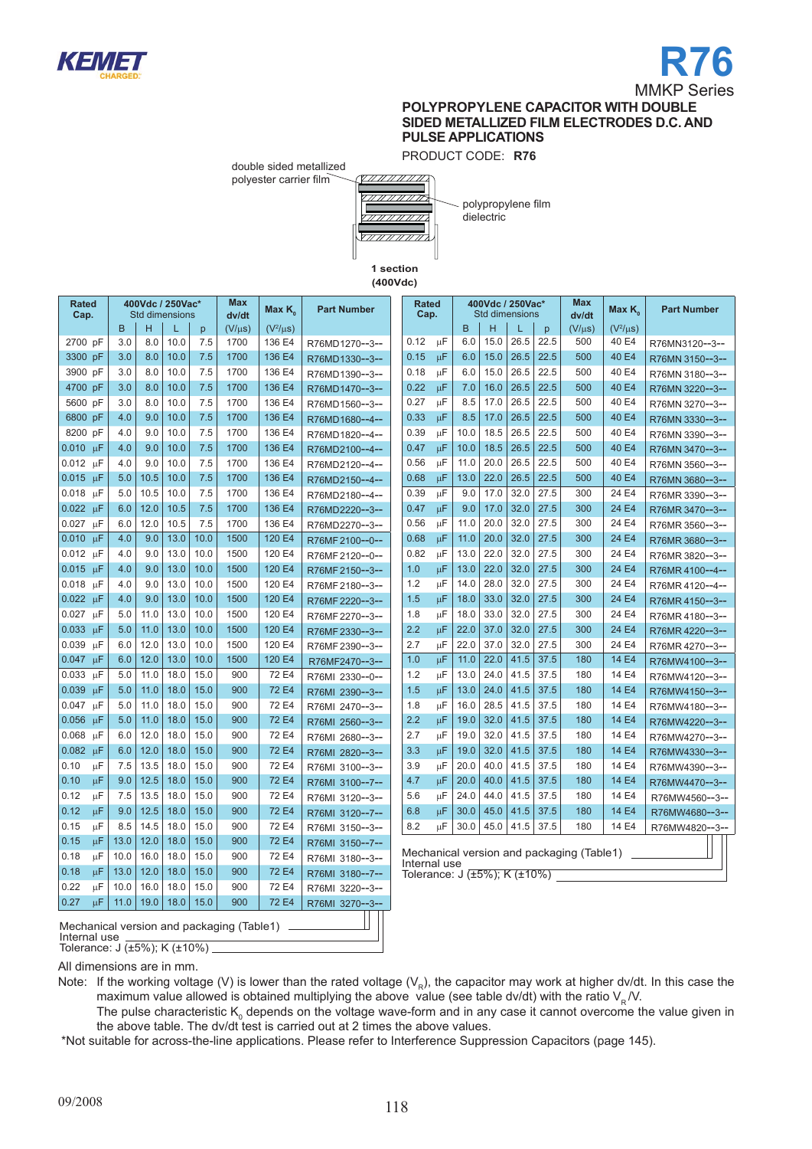



PRODUCT CODE: **R76**

double sided metallized polyester carrier film



polypropylene film dielectric

**1 section (400Vdc)**

| <b>Rated</b><br>Cap.                      | <b>Max</b><br>400Vdc / 250Vac*<br>Max $K_{\alpha}$<br><b>Std dimensions</b><br>dv/dt |      | <b>Part Number</b> |      | <b>Rated</b><br>Cap. |               | 400Vdc / 250Vac*<br>Std dimensions |  |              |         | <b>Max</b><br>dv/dt | Max $K_{\alpha}$ | <b>Part Number</b> |                                   |             |                                                 |                 |
|-------------------------------------------|--------------------------------------------------------------------------------------|------|--------------------|------|----------------------|---------------|------------------------------------|--|--------------|---------|---------------------|------------------|--------------------|-----------------------------------|-------------|-------------------------------------------------|-----------------|
|                                           | B                                                                                    | H    | L                  | p    | $(V/\mu s)$          | $(V^2/\mu s)$ |                                    |  |              |         | B                   | н                | L                  | p                                 | $(V/\mu s)$ | $(V^2/\mu s)$                                   |                 |
| 2700 pF                                   | 3.0                                                                                  | 8.0  | 10.0               | 7.5  | 1700                 | 136 E4        | R76MD1270--3--                     |  | 0.12         | $\mu$ F | 6.0                 | 15.0             | 26.5               | 22.5                              | 500         | 40 E4                                           | R76MN3120--3--  |
| 3300 pF                                   | 3.0                                                                                  | 8.0  | 10.0               | 7.5  | 1700                 | 136 E4        | R76MD1330--3--                     |  | 0.15         | μF      | 6.0                 | 15.0             | 26.5               | 22.5                              | 500         | 40 E4                                           | R76MN 3150--3-- |
| 3900 pF                                   | 3.0                                                                                  | 8.0  | 10.0               | 7.5  | 1700                 | 136 E4        | R76MD1390--3--                     |  | 0.18         | $\mu$ F | 6.0                 | 15.0             | 26.5               | 22.5                              | 500         | 40 E4                                           | R76MN 3180--3-- |
| 4700 pF                                   | 3.0                                                                                  | 8.0  | 10.0               | 7.5  | 1700                 | 136 E4        | R76MD1470--3--                     |  | 0.22         | μF      | 7.0                 | 16.0             | 26.5               | 22.5                              | 500         | 40 E4                                           | R76MN 3220--3-- |
| 5600 pF                                   | 3.0                                                                                  | 8.0  | 10.0               | 7.5  | 1700                 | 136 E4        | R76MD1560--3--                     |  | 0.27         | μF      | 8.5                 | 17.0             | 26.5               | 22.5                              | 500         | 40 E4                                           | R76MN 3270--3-- |
| 6800 pF                                   | 4.0                                                                                  | 9.0  | 10.0               | 7.5  | 1700                 | 136 E4        | R76MD1680--4--                     |  | 0.33         | $\mu$ F | 8.5                 | 17.0             | 26.5               | 22.5                              | 500         | 40 E4                                           | R76MN 3330--3-- |
| 8200 pF                                   | 4.0                                                                                  | 9.0  | 10.0               | 7.5  | 1700                 | 136 E4        | R76MD1820--4--                     |  | 0.39         | μF      | 10.0                | 18.5             | 26.5               | 22.5                              | 500         | 40 E4                                           | R76MN 3390--3-- |
| $0.010 \mu F$                             | 4.0                                                                                  | 9.0  | 10.0               | 7.5  | 1700                 | 136 E4        | R76MD2100--4--                     |  | 0.47         | μF      | 10.0                | 18.5             | 26.5               | 22.5                              | 500         | 40 E4                                           | R76MN 3470--3-- |
| $0.012$ µF                                | 4.0                                                                                  | 9.0  | 10.0               | 7.5  | 1700                 | 136 E4        | R76MD2120--4--                     |  | 0.56         | μF      | 11.0                | 20.0             | 26.5               | 22.5                              | 500         | 40 E4                                           | R76MN 3560--3-- |
| $0.015 \mu F$                             | 5.0                                                                                  | 10.5 | 10.0               | 7.5  | 1700                 | 136 E4        | R76MD2150--4--                     |  | 0.68         | μF      | 13.0                | 22.0             | 26.5               | 22.5                              | 500         | 40 E4                                           | R76MN 3680--3-- |
| $0.018$ uF                                | 5.0                                                                                  | 10.5 | 10.0               | 7.5  | 1700                 | 136 E4        | R76MD2180--4--                     |  | 0.39         | μF      | 9.0                 | 17.0             | 32.0               | 27.5                              | 300         | 24 E4                                           | R76MR 3390--3-- |
| $0.022 \text{ }\mu\text{F}$               | 6.0                                                                                  | 12.0 | 10.5               | 7.5  | 1700                 | 136 E4        | R76MD2220--3--                     |  | 0.47         | μF      | 9.0                 | 17.0             | 32.0               | 27.5                              | 300         | 24 E4                                           | R76MR 3470--3-- |
| $0.027 \mu F$                             | 6.0                                                                                  | 12.0 | 10.5               | 7.5  | 1700                 | 136 E4        | R76MD2270--3--                     |  | 0.56         | μF      | 11.0                | 20.0             | 32.0               | 27.5                              | 300         | 24 E4                                           | R76MR 3560--3-- |
| $0.010 \text{ }\mu\text{F}$               | 4.0                                                                                  | 9.0  | 13.0               | 10.0 | 1500                 | 120 E4        | R76MF2100--0--                     |  | 0.68         | μF      | 11.0                | 20.0             | 32.0               | 27.5                              | 300         | 24 E4                                           | R76MR 3680--3-- |
| $0.012 \mu F$                             | 4.0                                                                                  | 9.0  | 13.0               | 10.0 | 1500                 | 120 E4        | R76MF 2120--0--                    |  | 0.82         | μF      | 13.0                | 22.0             | 32.0               | 27.5                              | 300         | 24 E4                                           | R76MR 3820--3-- |
| $0.015$ uF                                | 4.0                                                                                  | 9.0  | 13.0               | 10.0 | 1500                 | 120 E4        | R76MF 2150--3--                    |  | 1.0          | μF      | 13.0                | 22.0             | 32.0               | 27.5                              | 300         | 24 E4                                           | R76MR 4100--4-- |
| 0.018 uF                                  | 4.0                                                                                  | 9.0  | 13.0               | 10.0 | 1500                 | 120 E4        | R76MF 2180--3--                    |  | 1.2          | μF      | 14.0                | 28.0             | 32.0               | 27.5                              | 300         | 24 E4                                           | R76MR 4120--4-- |
| $0.022 \mu F$                             | 4.0                                                                                  | 9.0  | 13.0               | 10.0 | 1500                 | 120 E4        | R76MF 2220--3--                    |  | 1.5          | μF      | 18.0                | 33.0             | 32.0               | 27.5                              | 300         | 24 E4                                           | R76MR 4150--3-- |
| 0.027 µF                                  | 5.0                                                                                  | 11.0 | 13.0               | 10.0 | 1500                 | 120 E4        | R76MF 2270--3--                    |  | 1.8          | $\mu$ F | 18.0                | 33.0             | 32.0               | 27.5                              | 300         | 24 E4                                           | R76MR 4180--3-- |
| $0.033 \mu F$                             | 5.0                                                                                  | 11.0 | 13.0               | 10.0 | 1500                 | 120 E4        | R76MF 2330--3--                    |  | 2.2          | μF      | 22.0                | 37.0             | 32.0               | 27.5                              | 300         | 24 E4                                           | R76MR 4220--3-- |
| 0.039 µF                                  | 6.0                                                                                  | 12.0 | 13.0               | 10.0 | 1500                 | 120 E4        | R76MF 2390--3--                    |  | 2.7          | $\mu$ F | 22.0                | 37.0             | 32.0               | 27.5                              | 300         | 24 E4                                           | R76MR 4270--3-- |
| $0.047 \mu F$                             | 6.0                                                                                  | 12.0 | 13.0               | 10.0 | 1500                 | 120 E4        | R76MF2470--3--                     |  | 1.0          | μF      | 11.0                | 22.0             | 41.5               | 37.5                              | 180         | 14 E4                                           | R76MW4100--3--  |
| $0.033 \text{ }\mu\text{F}$               | 5.0                                                                                  | 11.0 | 18.0               | 15.0 | 900                  | 72 E4         | R76MI 2330--0--                    |  | 1.2          | $\mu$ F | 13.0                | 24.0             | 41.5               | 37.5                              | 180         | 14 E4                                           | R76MW4120--3--  |
| 0.039 µF                                  | 5.0                                                                                  | 11.0 | 18.0               | 15.0 | 900                  | 72 E4         | R76MI 2390--3--                    |  | 1.5          | μF      | 13.0                | 24.0             | 41.5               | 37.5                              | 180         | 14 E4                                           | R76MW4150--3--  |
| $0.047 \mu F$                             | 5.0                                                                                  | 11.0 | 18.0               | 15.0 | 900                  | 72 E4         | R76MI 2470--3--                    |  | 1.8          | μF      | 16.0                | 28.5             | 41.5               | 37.5                              | 180         | 14 E4                                           | R76MW4180--3--  |
| $0.056$ uF                                | 5.0                                                                                  | 11.0 | 18.0               | 15.0 | 900                  | 72 E4         | R76MI 2560--3--                    |  | 2.2          | μF      | 19.0                | 32.0             | 41.5               | 37.5                              | 180         | 14 E4                                           | R76MW4220--3--  |
| $0.068$ µF                                | 6.0                                                                                  | 12.0 | 18.0               | 15.0 | 900                  | 72 E4         | R76MI 2680--3--                    |  | 2.7          | μF      | 19.0                | 32.0             | 41.5               | 37.5                              | 180         | 14 E4                                           | R76MW4270--3--  |
| $0.082 \mu F$                             | 6.0                                                                                  | 12.0 | 18.0               | 15.0 | 900                  | 72 E4         | R76MI 2820--3--                    |  | 3.3          | μF      | 19.0                | 32.0             | 41.5               | 37.5                              | 180         | 14 E4                                           | R76MW4330--3--  |
| 0.10<br>μF                                | 7.5                                                                                  | 13.5 | 18.0               | 15.0 | 900                  | 72 E4         | R76MI 3100--3--                    |  | 3.9          | $\mu$ F | 20.0                | 40.0             | 41.5               | 37.5                              | 180         | 14 E4                                           | R76MW4390--3--  |
| 0.10<br>$\mu$ F                           | 9.0                                                                                  | 12.5 | 18.0               | 15.0 | 900                  | 72 E4         | R76MI 3100--7--                    |  | 4.7          | μF      | 20.0                | 40.0             | 41.5               | 37.5                              | 180         | 14 E4                                           | R76MW4470--3--  |
| 0.12<br>μF                                | 7.5                                                                                  | 13.5 | 18.0               | 15.0 | 900                  | 72 E4         | R76MI 3120--3--                    |  | 5.6          | μF      | 24.0                | 44.0             | 41.5               | 37.5                              | 180         | 14 E4                                           | R76MW4560--3--  |
| 0.12<br>$\mu$ F                           | 9.0                                                                                  | 12.5 | 18.0               | 15.0 | 900                  | 72 E4         | R76MI 3120--7--                    |  | 6.8          | μF      | 30.0                | 45.0             | 41.5               | 37.5                              | 180         | 14 E4                                           | R76MW4680--3--  |
| 0.15<br>$\mu$ F                           | 8.5                                                                                  | 14.5 | 18.0               | 15.0 | 900                  | 72 E4         | R76MI 3150--3--                    |  | 8.2          | $\mu$ F | 30.0                | 45.0             | 41.5               | 37.5                              | 180         | 14 E4                                           | R76MW4820--3--  |
| 0.15<br>μF                                | 13.0                                                                                 | 12.0 | 18.0               | 15.0 | 900                  | 72 E4         | R76MI 3150--7--                    |  |              |         |                     |                  |                    |                                   |             |                                                 |                 |
| 0.18<br>$\mu$ F                           | 10.0                                                                                 | 16.0 | 18.0               | 15.0 | 900                  | 72 E4         | R76MI 3180--3--                    |  | Internal use |         |                     |                  |                    |                                   |             | Mechanical version and packaging (Table1) _____ |                 |
| 0.18<br>$\mu$ F                           | 13.0                                                                                 | 12.0 | 18.0               | 15.0 | 900                  | 72 E4         | R76MI 3180--7--                    |  |              |         |                     |                  |                    | Tolerance: $J(15\%)$ ; K $(10\%)$ |             |                                                 |                 |
| 0.22<br>μF                                | 10.0                                                                                 | 16.0 | 18.0               | 15.0 | 900                  | 72 E4         | R76MI 3220--3--                    |  |              |         |                     |                  |                    |                                   |             |                                                 |                 |
| 0.27<br>μF                                | 11.0                                                                                 | 19.0 | 18.0               | 15.0 | 900                  | 72 E4         | R76MI 3270--3--                    |  |              |         |                     |                  |                    |                                   |             |                                                 |                 |
| Mechanical version and packaging (Table1) |                                                                                      |      |                    |      |                      |               |                                    |  |              |         |                     |                  |                    |                                   |             |                                                 |                 |

Internal use

Tolerance:  $J(±5%)$ ; K $(±10%)$ 

All dimensions are in mm.

Note: If the working voltage (V) is lower than the rated voltage (V<sub>R</sub>), the capacitor may work at higher dv/dt. In this case the maximum value allowed is obtained multiplying the above value (see table dv/dt) with the ratio  $\mathsf{V}_{\mathsf{R}}\mathcal{N}$ .

The pulse characteristic K<sub>0</sub> depends on the voltage wave-form and in any case it cannot overcome the value given in the above table. The dv/dt test is carried out at 2 times the above values.

\*Not suitable for across-the-line applications. Please refer to Interference Suppression Capacitors (page 145).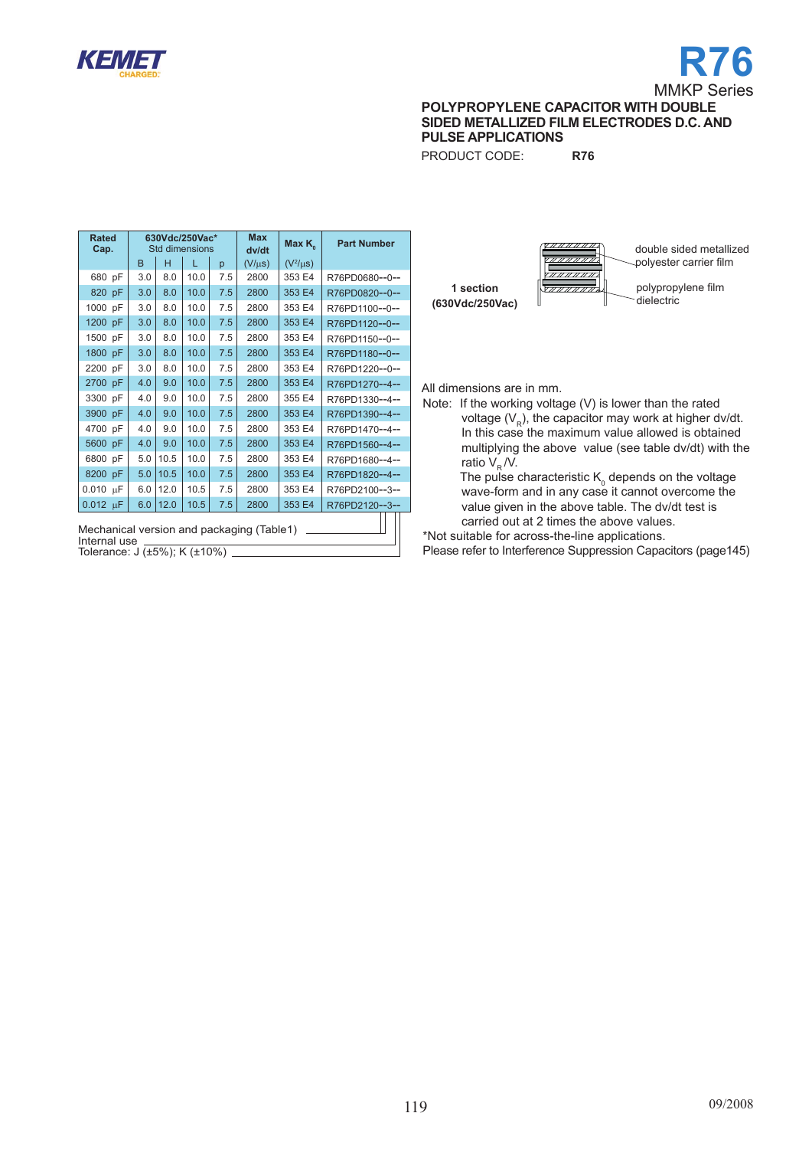

# **R76** MMKP Series

**polyPROPYLENE capacitor WITH DOUBLE SIDED METALLIZED FILM ELECTRODES D.C. AND PULSE APPLICATIONS**

PRODUCT CODE: **R76**

| <b>Rated</b><br>Cap.                                                                      |              |      | 630Vdc/250Vac*<br><b>Std dimensions</b> |     | <b>Max</b><br>dv/dt | Max $K_{\circ}$ | <b>Part Number</b> |
|-------------------------------------------------------------------------------------------|--------------|------|-----------------------------------------|-----|---------------------|-----------------|--------------------|
|                                                                                           | <sub>B</sub> | н    | L                                       | p   | $(V/\mu s)$         | $(V^2/\mu s)$   |                    |
| 680 pF                                                                                    | 3.0          | 8.0  | 10.0                                    | 7.5 | 2800                | 353 E4          | R76PD0680--0--     |
| 820 pF                                                                                    | 3.0          | 8.0  | 10.0                                    | 7.5 | 2800                | 353 E4          | R76PD0820--0--     |
| 1000 pF                                                                                   | 3.0          | 8.0  | 10.0                                    | 7.5 | 2800                | 353 E4          | R76PD1100--0--     |
| 1200 pF                                                                                   | 3.0          | 8.0  | 10.0                                    | 7.5 | 2800                | 353 E4          | R76PD1120--0--     |
| 1500 pF                                                                                   | 3.0          | 8.0  | 10.0                                    | 7.5 | 2800                | 353 E4          | R76PD1150--0--     |
| 1800 pF                                                                                   | 3.0          | 8.0  | 10.0                                    | 7.5 | 2800                | 353 E4          | R76PD1180--0--     |
| 2200 pF                                                                                   | 3.0          | 8.0  | 10.0                                    | 7.5 | 2800                | 353 E4          | R76PD1220--0--     |
| 2700 pF                                                                                   | 4.0          | 9.0  | 10.0                                    | 7.5 | 2800                | 353 E4          | R76PD1270--4--     |
| 3300<br>pF                                                                                | 4.0          | 9.0  | 10.0                                    | 7.5 | 2800                | 355 E4          | R76PD1330--4--     |
| 3900 pF                                                                                   | 4.0          | 9.0  | 10.0                                    | 7.5 | 2800                | 353 E4          | R76PD1390--4--     |
| 4700<br>pF                                                                                | 4.0          | 9.0  | 10.0                                    | 7.5 | 2800                | 353 E4          | R76PD1470--4--     |
| 5600 pF                                                                                   | 4.0          | 9.0  | 10.0                                    | 7.5 | 2800                | 353 E4          | R76PD1560--4--     |
| 6800 pF                                                                                   | 5.0          | 10.5 | 10.0                                    | 7.5 | 2800                | 353 E4          | R76PD1680--4--     |
| 8200 pF                                                                                   | 5.0          | 10.5 | 10.0                                    | 7.5 | 2800                | 353 E4          | R76PD1820--4--     |
| $0.010 \mu F$                                                                             | 6.0          | 12.0 | 10.5                                    | 7.5 | 2800                | 353 E4          | R76PD2100--3--     |
| $0.012 \text{ }\mu\text{F}$                                                               | 6.0          | 12.0 | 10.5                                    | 7.5 | 2800                | 353 E4          | R76PD2120--3--     |
| Mechanical version and packaging (Table1)<br>Internal use<br>Tolerance: J (±5%); K (±10%) |              |      |                                         |     |                     |                 |                    |



All dimensions are in mm.

Note: If the working voltage (V) is lower than the rated voltage  $(V_R)$ , the capacitor may work at higher dv/dt. In this case the maximum value allowed is obtained multiplying the above value (see table dv/dt) with the ratio  $V_{\rm p}N$ .

The pulse characteristic  $\mathsf{K}_{_{\scriptscriptstyle{0}}}$  depends on the voltage wave-form and in any case it cannot overcome the value given in the above table. The dv/dt test is carried out at 2 times the above values.

\*Not suitable for across-the-line applications.

Please refer to Interference Suppression Capacitors (page145)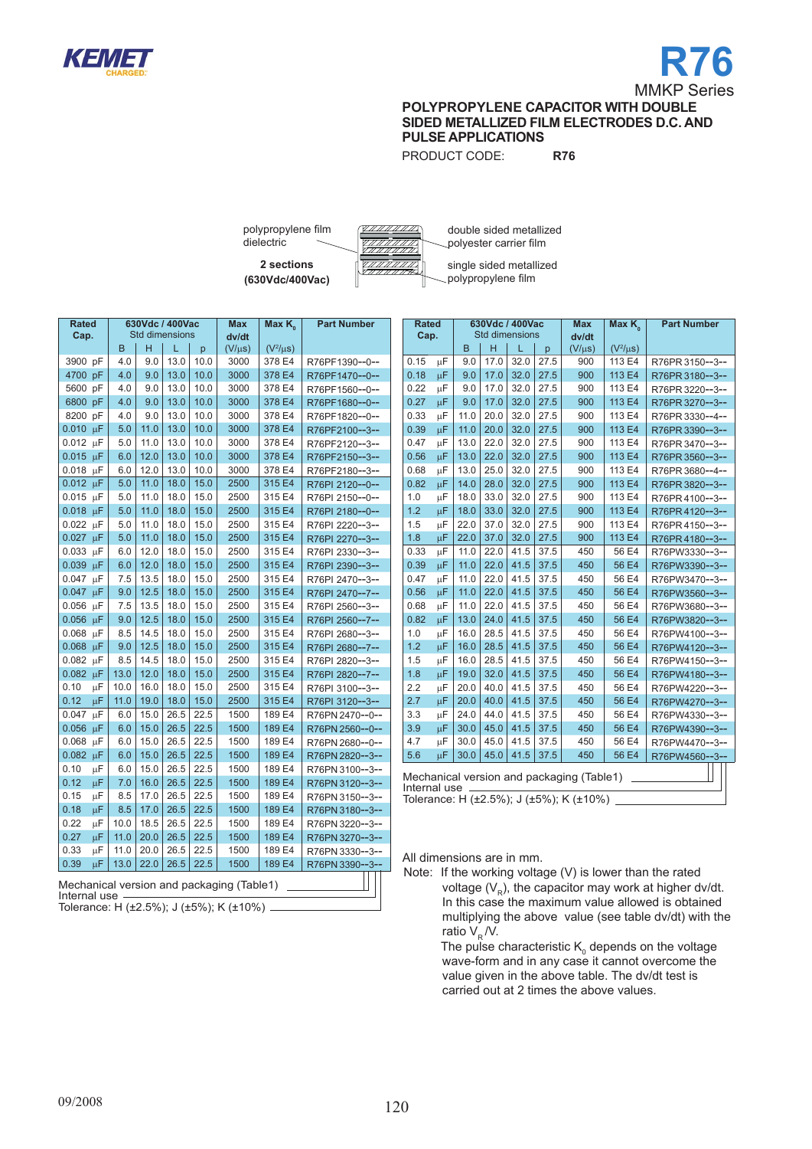



PRODUCT CODE: **R76**

**2 sections** polypropylene film dielectric

**(630Vdc/400Vac)**

double sided metallized polyester carrier film single sided metallized polypropylene film

| <b>Rated</b><br>Cap.        |    |      | 630Vdc / 400Vac<br><b>Std dimensions</b> |      |      | <b>Max</b><br>dv/dt | Max $K_{0}$   | <b>Part Number</b> |
|-----------------------------|----|------|------------------------------------------|------|------|---------------------|---------------|--------------------|
|                             |    | B.   | н                                        | L.   | p.   | $(V/\mu s)$         | $(V^2/\mu s)$ |                    |
| 3900 pF                     |    | 4.0  | 9.0                                      | 13.0 | 10.0 | 3000                | 378 E4        | R76PF1390--0--     |
| 4700 pF                     |    | 4.0  | 9.0                                      | 13.0 | 10.0 | 3000                | 378 E4        | R76PF1470--0--     |
| 5600 pF                     |    | 4.0  | 9.0                                      | 13.0 | 10.0 | 3000                | 378 E4        | R76PF1560--0--     |
| 6800 pF                     |    | 4.0  | 9.0                                      | 13.0 | 10.0 | 3000                | 378 E4        | R76PF1680--0--     |
| 8200 pF                     |    | 4.0  | 9.0                                      | 13.0 | 10.0 | 3000                | 378 E4        | R76PF1820--0--     |
| $0.010 \text{ }\mu\text{F}$ |    | 5.0  | 11.0                                     | 13.0 | 10.0 | 3000                | 378 E4        | R76PF2100--3--     |
| $0.012 \mu F$               |    | 5.0  | 11.0                                     | 13.0 | 10.0 | 3000                | 378 E4        | R76PF2120--3--     |
| $0.015$ uF                  |    | 6.0  | 12.0                                     | 13.0 | 10.0 | 3000                | 378 E4        | R76PF2150--3--     |
| 0.018                       | μF | 6.0  | 12.0                                     | 13.0 | 10.0 | 3000                | 378 E4        | R76PF2180--3--     |
| $0.012 \mu F$               |    | 5.0  | 11.0                                     | 18.0 | 15.0 | 2500                | 315 E4        | R76PI 2120--0--    |
| $0.015 \mu F$               |    | 5.0  | 11.0                                     | 18.0 | 15.0 | 2500                | 315 E4        | R76PI 2150--0--    |
| 0.018 µF                    |    | 5.0  | 11.0                                     | 18.0 | 15.0 | 2500                | 315 E4        | R76PI 2180--0--    |
| $0.022 \mu F$               |    | 5.0  | 11.0                                     | 18.0 | 15.0 | 2500                | 315 E4        | R76PI 2220--3--    |
| $0.027 \text{ }\mu\text{F}$ |    | 5.0  | 11.0                                     | 18.0 | 15.0 | 2500                | 315 E4        | R76PI 2270--3--    |
| $0.033 \mu F$               |    | 6.0  | 12.0                                     | 18.0 | 15.0 | 2500                | 315 E4        | R76PI 2330--3--    |
| 0.039 µF                    |    | 6.0  | 12.0                                     | 18.0 | 15.0 | 2500                | 315 E4        | R76PI 2390--3--    |
| 0.047                       | μF | 7.5  | 13.5                                     | 18.0 | 15.0 | 2500                | 315 E4        | R76PI 2470--3--    |
| 0.047                       | μF | 9.0  | 12.5                                     | 18.0 | 15.0 | 2500                | 315 E4        | R76PI 2470--7--    |
| $0.056$ $\mu$ F             |    | 7.5  | 13.5                                     | 18.0 | 15.0 | 2500                | 315 E4        | R76PI 2560--3--    |
| 0.056 µF                    |    | 9.0  | 12.5                                     | 18.0 | 15.0 | 2500                | 315 E4        | R76PI 2560--7--    |
| 0.068 µF                    |    | 8.5  | 14.5                                     | 18.0 | 15.0 | 2500                | 315 E4        | R76PI 2680--3--    |
| $0.068$ uF                  |    | 9.0  | 12.5                                     | 18.0 | 15.0 | 2500                | 315 E4        | R76PI 2680--7--    |
| $0.082 \mu F$               |    | 8.5  | 14.5                                     | 18.0 | 15.0 | 2500                | 315 E4        | R76PI 2820--3--    |
| 0.082                       | μF | 13.0 | 12.0                                     | 18.0 | 15.0 | 2500                | 315 E4        | R76PI 2820--7--    |
| 0.10                        | μF | 10.0 | 16.0                                     | 18.0 | 15.0 | 2500                | 315 E4        | R76PI 3100--3--    |
| 0.12                        | μF | 11.0 | 19.0                                     | 18.0 | 15.0 | 2500                | 315 E4        | R76PI 3120--3--    |
| 0.047                       | μF | 6.0  | 15.0                                     | 26.5 | 22.5 | 1500                | 189 E4        | R76PN 2470--0--    |
| 0.056                       | μF | 6.0  | 15.0                                     | 26.5 | 22.5 | 1500                | 189 E4        | R76PN 2560--0--    |
| 0.068                       | μF | 6.0  | 15.0                                     | 26.5 | 22.5 | 1500                | 189 E4        | R76PN 2680--0--    |
| $0.082$ uF                  |    | 6.0  | 15.0                                     | 26.5 | 22.5 | 1500                | 189 E4        | R76PN 2820--3--    |
| 0.10                        | μF | 6.0  | 15.0                                     | 26.5 | 22.5 | 1500                | 189 E4        | R76PN 3100--3--    |
| 0.12                        | μF | 7.0  | 16.0                                     | 26.5 | 22.5 | 1500                | 189 E4        | R76PN 3120--3--    |
| 0.15                        | μF | 8.5  | 17.0                                     | 26.5 | 22.5 | 1500                | 189 E4        | R76PN 3150--3--    |
| 0.18                        | μF | 8.5  | 17.0                                     | 26.5 | 22.5 | 1500                | 189 E4        | R76PN 3180--3--    |
| 0.22                        | μF | 10.0 | 18.5                                     | 26.5 | 22.5 | 1500                | 189 E4        | R76PN 3220--3--    |
| 0.27                        | μF | 11.0 | 20.0                                     | 26.5 | 22.5 | 1500                | 189 E4        | R76PN 3270--3--    |
| 0.33                        | μF | 11.0 | 20.0                                     | 26.5 | 22.5 | 1500                | 189 E4        | R76PN 3330--3--    |
| 0.39                        | μF | 13.0 | 22.0                                     | 26.5 | 22.5 | 1500                | 189 E4        | R76PN 3390--3--    |

| Mechanical version and packaging (Table1) |  |  |  |  |
|-------------------------------------------|--|--|--|--|
| Internal use                              |  |  |  |  |
|                                           |  |  |  |  |

Tolerance: H (±2.5%); J (±5%); K (±10%)

| <b>Rated</b><br>Cap. |    |      |      | 630Vdc / 400Vac<br><b>Std dimensions</b> |      | <b>Max</b>                                                                           | Max K <sub>o</sub> | <b>Part Number</b> |
|----------------------|----|------|------|------------------------------------------|------|--------------------------------------------------------------------------------------|--------------------|--------------------|
|                      |    | B    | H    | L                                        | p    | dv/dt<br>$(V/\mu s)$                                                                 | $(V^2/\mu s)$      |                    |
| 0.15                 | μF | 9.0  | 17.0 | 32.0                                     | 27.5 | 900                                                                                  | 113 E4             | R76PR 3150--3--    |
| 0.18                 | μF | 9.0  | 17.0 | 32.0                                     | 27.5 | 900                                                                                  | 113 E4             | R76PR 3180--3--    |
| 0.22                 | μF | 9.0  | 17.0 | 32.0                                     | 27.5 | 900                                                                                  | 113 E4             | R76PR 3220--3--    |
| 0.27                 | μF | 9.0  | 17.0 | 32.0                                     | 27.5 | 900                                                                                  | 113 E4             | R76PR 3270--3--    |
| 0.33                 | μF | 11.0 | 20.0 | 32.0                                     | 27.5 | 900                                                                                  | 113 E4             | R76PR 3330--4--    |
| 0.39                 | μF | 11.0 | 20.0 | 32.0                                     | 27.5 | 900                                                                                  | 113 E4             | R76PR 3390--3--    |
| 0.47                 | μF | 13.0 | 22.0 | 32.0                                     | 27.5 | 900                                                                                  | 113 E4             | R76PR 3470--3--    |
| 0.56                 | μF | 13.0 | 22.0 | 32.0                                     | 27.5 | 900                                                                                  | 113 E4             | R76PR 3560--3--    |
| 0.68                 | μF | 13.0 | 25.0 | 32.0                                     | 27.5 | 900                                                                                  | 113 E4             | R76PR 3680--4--    |
| 0.82                 | μF | 14.0 | 28.0 | 32.0                                     | 27.5 | 900                                                                                  | 113 E4             | R76PR 3820--3--    |
| 1.0                  | μF | 18.0 | 33.0 | 32.0                                     | 27.5 | 900                                                                                  | 113 E4             | R76PR4100--3--     |
| 1.2                  | μF | 18.0 | 33.0 | 32.0                                     | 27.5 | 900                                                                                  | 113 E4             | R76PR4120--3--     |
| 1.5                  | μF | 22.0 | 37.0 | 32.0                                     | 27.5 | 900                                                                                  | 113 E4             | R76PR4150--3--     |
| 1.8                  | μF | 22.0 | 37.0 | 32.0                                     | 27.5 | 900                                                                                  | 113 E4             | R76PR4180--3--     |
| 0.33                 | μF | 11.0 | 22.0 | 41.5                                     | 37.5 | 450                                                                                  | 56 E4              | R76PW3330--3--     |
| 0.39                 | μF | 11.0 | 22.0 | 41.5                                     | 37.5 | 450                                                                                  | 56 E4              | R76PW3390--3--     |
| 0.47                 | μF | 11.0 | 22.0 | 41.5                                     | 37.5 | 450                                                                                  | 56 E4              | R76PW3470--3--     |
| 0.56                 | μF | 11.0 | 22.0 | 41.5                                     | 37.5 | 450                                                                                  | 56 E4              | R76PW3560--3--     |
| 0.68                 | μF | 11.0 | 22.0 | 41.5                                     | 37.5 | 450                                                                                  | 56 E4              | R76PW3680--3--     |
| 0.82                 | μF | 13.0 | 24.0 | 41.5                                     | 37.5 | 450                                                                                  | 56 E4              | R76PW3820--3--     |
| 1.0                  | μF | 16.0 | 28.5 | 41.5                                     | 37.5 | 450                                                                                  | 56 E4              | R76PW4100--3--     |
| 1.2                  | μF | 16.0 | 28.5 | 41.5                                     | 37.5 | 450                                                                                  | 56 E4              | R76PW4120--3--     |
| 1.5                  | μF | 16.0 | 28.5 | 41.5                                     | 37.5 | 450                                                                                  | 56 E4              | R76PW4150--3--     |
| 1.8                  | μF | 19.0 | 32.0 | 41.5                                     | 37.5 | 450                                                                                  | 56 E4              | R76PW4180--3--     |
| 2.2                  | μF | 20.0 | 40.0 | 41.5                                     | 37.5 | 450                                                                                  | 56 E4              | R76PW4220--3--     |
| 2.7                  | μF | 20.0 | 40.0 | 41.5                                     | 37.5 | 450                                                                                  | 56 E4              | R76PW4270--3--     |
| 3.3                  | μF | 24.0 | 44.0 | 41.5                                     | 37.5 | 450                                                                                  | 56 E4              | R76PW4330--3--     |
| 3.9                  | μF | 30.0 | 45.0 | 41.5                                     | 37.5 | 450                                                                                  | 56 E4              | R76PW4390--3--     |
| 4.7                  | μF | 30.0 | 45.0 | 41.5                                     | 37.5 | 450                                                                                  | 56 E4              | R76PW4470--3--     |
| 5.6                  | μF | 30.0 | 45.0 | 41.5                                     | 37.5 | 450                                                                                  | 56 E4              | R76PW4560--3--     |
| Internal use         |    |      |      |                                          |      | Mechanical version and packaging (Table1)<br>Tolerance: H (±2.5%); J (±5%); K (±10%) |                    |                    |

All dimensions are in mm.

Note: If the working voltage (V) is lower than the rated voltage  $(V_p)$ , the capacitor may work at higher dv/dt. In this case the maximum value allowed is obtained multiplying the above value (see table dv/dt) with the ratio  $V_R / V$ .

The pulse characteristic  $\mathsf{K}_{_{\scriptscriptstyle{0}}}$  depends on the voltage wave-form and in any case it cannot overcome the value given in the above table. The dv/dt test is carried out at 2 times the above values.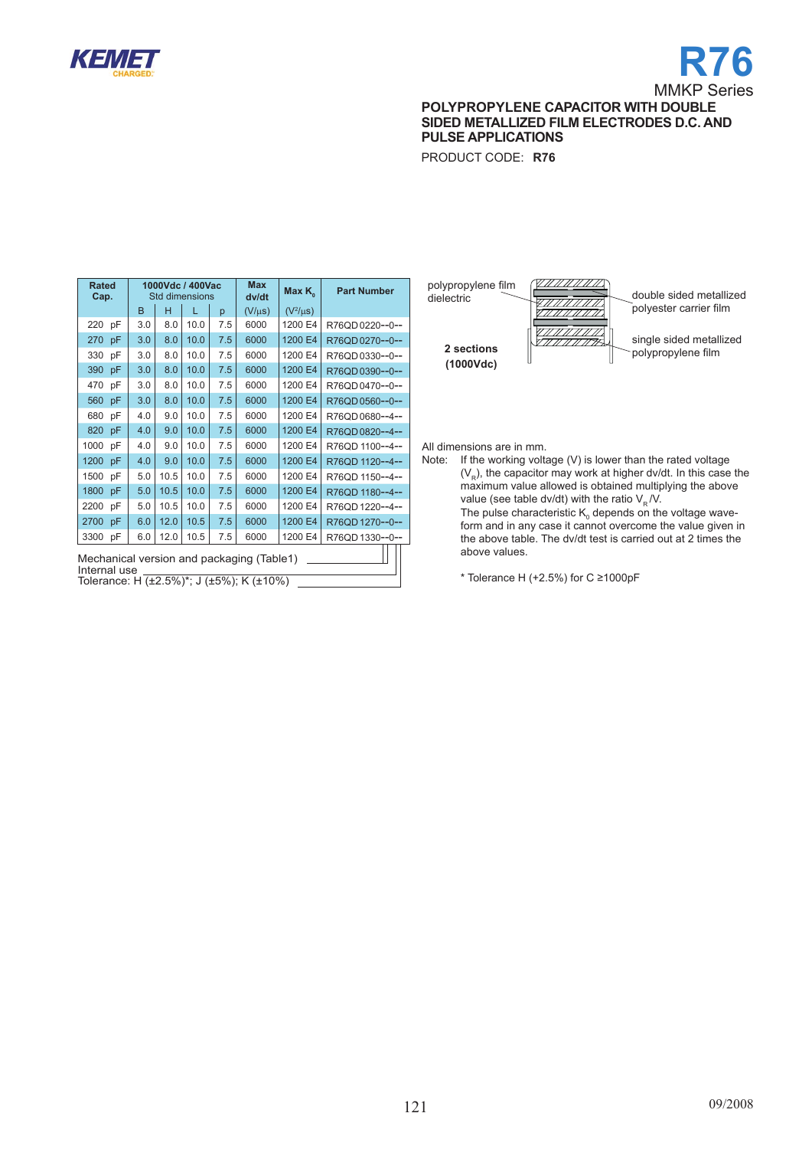

# **R76** MMKP Series

**polyPROPYLENE capacitor WITH DOUBLE SIDED METALLIZED FILM ELECTRODES D.C. AND PULSE APPLICATIONS**

PRODUCT CODE: **R76**

| Rated<br>Cap. |                                                           |     |      | 1000Vdc / 400Vac<br><b>Std dimensions</b> |     | <b>Max</b><br>dv/dt | Max K <sub>o</sub> | <b>Part Number</b> |  |
|---------------|-----------------------------------------------------------|-----|------|-------------------------------------------|-----|---------------------|--------------------|--------------------|--|
|               |                                                           | B   | н    | L                                         | p   | $(V/\mu s)$         | $(V^2/\mu s)$      |                    |  |
| 220           | pF                                                        | 3.0 | 8.0  | 10.0                                      | 7.5 | 6000                | 1200 E4            | R76QD0220--0--     |  |
| 270           | pF                                                        | 3.0 | 8.0  | 10.0                                      | 7.5 | 6000                | 1200 E4            | R76QD0270--0--     |  |
| 330           | рF                                                        | 3.0 | 8.0  | 10.0                                      | 7.5 | 6000                | 1200 E4            | R76QD0330--0--     |  |
| 390           | pF                                                        | 3.0 | 8.0  | 10.0                                      | 7.5 | 6000                | 1200 E4            | R76QD0390--0--     |  |
| 470           | pF                                                        | 3.0 | 8.0  | 10.0                                      | 7.5 | 6000                | 1200 E4            | R76QD0470--0--     |  |
| 560           | pF                                                        | 3.0 | 8.0  | 10.0                                      | 7.5 | 6000                | 1200 E4            | R76QD0560--0--     |  |
| 680           | pF                                                        | 4.0 | 9.0  | 10.0                                      | 7.5 | 6000                | 1200 E4            | R76QD0680--4--     |  |
| 820           | pF                                                        | 4.0 | 9.0  | 10.0                                      | 7.5 | 6000                | 1200 E4            | R76QD0820--4--     |  |
| 1000          | pF                                                        | 4.0 | 9.0  | 10.0                                      | 7.5 | 6000                | 1200 E4            | R76QD 1100--4--    |  |
| 1200          | pF                                                        | 4.0 | 9.0  | 10.0                                      | 7.5 | 6000                | 1200 E4            | R76OD 1120--4--    |  |
| 1500          | pF                                                        | 5.0 | 10.5 | 10.0                                      | 7.5 | 6000                | 1200 E4            | R76OD 1150--4--    |  |
| 1800          | pF                                                        | 5.0 | 10.5 | 10.0                                      | 7.5 | 6000                | 1200 E4            | R76QD 1180--4--    |  |
| 2200          | pF                                                        | 5.0 | 10.5 | 10.0                                      | 7.5 | 6000                | 1200 E4            | R76OD 1220--4--    |  |
| 2700          | pF                                                        | 6.0 | 12.0 | 10.5                                      | 7.5 | 6000                | 1200 E4            | R76QD 1270--0--    |  |
| 3300          | рF                                                        | 6.0 | 12.0 | 10.5                                      | 7.5 | 6000                | 1200 E4            | R76QD 1330--0--    |  |
|               | Mechanical version and packaging (Table1)<br>Internal use |     |      |                                           |     |                     |                    |                    |  |

Tolerance: H  $(\pm 2.5\%)^*$ ; J  $(\pm 5\%)$ ; K  $(\pm 10\%)$ 



All dimensions are in mm.<br>Note: If the working volta

If the working voltage  $(V)$  is lower than the rated voltage  $(V<sub>p</sub>)$ , the capacitor may work at higher dv/dt. In this case the maximum value allowed is obtained multiplying the above value (see table dv/dt) with the ratio  $V_R$ /V. The pulse characteristic  $\mathsf{K}_{_{\scriptscriptstyle{0}}}$  depends on the voltage waveform and in any case it cannot overcome the value given in the above table. The dv/dt test is carried out at 2 times the above values.

\* Tolerance H (+2.5%) for  $C \ge 1000$ pF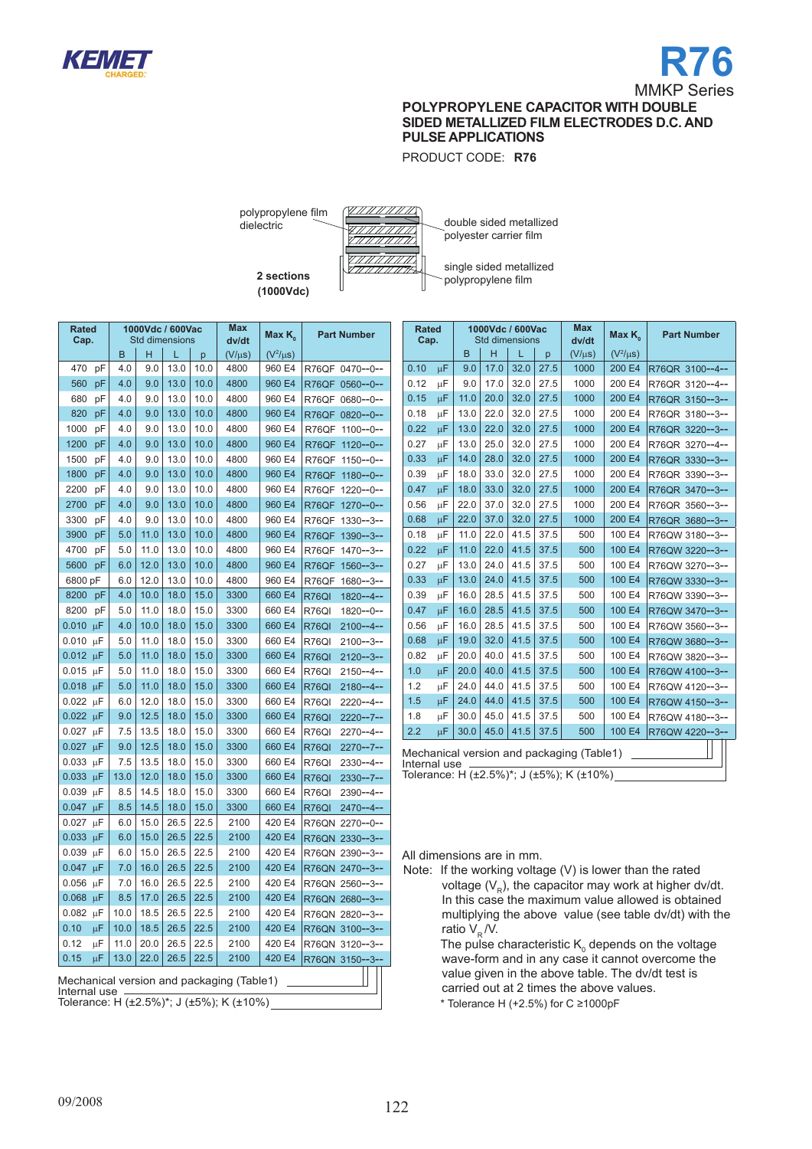

PRODUCT CODE: **R76**

polypropylene film dielectric



double sided metallized polyester carrier film

**2 sections (1000Vdc)**

single sided metallized polypropylene film

| <b>Rated</b><br>Cap. |    |              | 1000Vdc / 600Vac<br><b>Std dimensions</b> |      |      | Max<br>dv/dt                              | Max K <sub>0</sub> | <b>Part Number</b>            |
|----------------------|----|--------------|-------------------------------------------|------|------|-------------------------------------------|--------------------|-------------------------------|
|                      |    | <sub>B</sub> | н                                         | L    | p    | $(V/\mu s)$                               | $(V^2/\mu s)$      |                               |
| 470                  | рF | 4.0          | 9.0                                       | 13.0 | 10.0 | 4800                                      | 960 E4             | R76QF<br>$0470 - -0 - -$      |
| 560                  | pF | 4.0          | 9.0                                       | 13.0 | 10.0 | 4800                                      | 960 E4             | R76QF<br>$0560 - -0 - -$      |
| 680                  | рF | 4.0          | 9.0                                       | 13.0 | 10.0 | 4800                                      | 960 E4             | R76QF<br>$0680--0--$          |
| 820                  | pF | 4.0          | 9.0                                       | 13.0 | 10.0 | 4800                                      | 960 E4             | R76QF 0820--0--               |
| 1000                 | рF | 4.0          | 9.0                                       | 13.0 | 10.0 | 4800                                      | 960 E4             | R76QF<br>$1100 - -0 - -$      |
| 1200                 | pF | 4.0          | 9.0                                       | 13.0 | 10.0 | 4800                                      | 960 E4             | R76QF<br>$1120 - -0 - -$      |
| 1500                 | рF | 4.0          | 9.0                                       | 13.0 | 10.0 | 4800                                      | 960 E4             | R76QF<br>$1150 - -0 - -$      |
| 1800                 | pF | 4.0          | 9.0                                       | 13.0 | 10.0 | 4800                                      | 960 E4             | R76QF<br>$1180 - -0 - -$      |
| 2200                 | рF | 4.0          | 9.0                                       | 13.0 | 10.0 | 4800                                      | 960 E4             | R76QF<br>$1220 - -0 - -$      |
| 2700                 | pF | 4.0          | 9.0                                       | 13.0 | 10.0 | 4800                                      | 960 E4             | R76QF<br>$1270 - -0 - -$      |
| 3300                 | рF | 4.0          | 9.0                                       | 13.0 | 10.0 | 4800                                      | 960 E4             | R76QF<br>$1330 - -3 - -$      |
| 3900                 | pF | 5.0          | 11.0                                      | 13.0 | 10.0 | 4800                                      | 960 E4             | $1390 - 3 -$<br>R76QF         |
| 4700                 | рF | 5.0          | 11.0                                      | 13.0 | 10.0 | 4800                                      | 960 E4             | R76QF<br>$1470 - 3 -$         |
| 5600                 | pF | 6.0          | 12.0                                      | 13.0 | 10.0 | 4800                                      | 960 E4             | R76QF<br>$1560 - 3 -$         |
| 6800 pF              |    | 6.0          | 12.0                                      | 13.0 | 10.0 | 4800                                      | 960 E4             | R76QF<br>$1680 - -3 - -$      |
| 8200                 | рF | 4.0          | 10.0                                      | 18.0 | 15.0 | 3300                                      | 660 E4             | R76QI<br>1820--4--            |
| 8200                 | рF | 5.0          | 11.0                                      | 18.0 | 15.0 | 3300                                      | 660 E4             | R76QI<br>$1820 - -0 - -$      |
| 0.010                | μF | 4.0          | 10.0                                      | 18.0 | 15.0 | 3300                                      | 660 E4             | R76QI<br>$2100 - -4 -$        |
| 0.010                | μF | 5.0          | 11.0                                      | 18.0 | 15.0 | 3300                                      | 660 E4             | R76QI<br>$2100 - 3 -$         |
| 0.012                | μF | 5.0          | 11.0                                      | 18.0 | 15.0 | 3300                                      | 660 E4             | <b>R76QI</b><br>$2120 - 3 -$  |
| 0.015                | μF | 5.0          | 11.0                                      | 18.0 | 15.0 | 3300                                      | 660 E4             | R76QI<br>2150--4--            |
| 0.018                | μF | 5.0          | 11.0                                      | 18.0 | 15.0 | 3300                                      | 660 E4             | <b>R76QI</b><br>$2180 - -4 -$ |
| 0.022                | μF | 6.0          | 12.0                                      | 18.0 | 15.0 | 3300                                      | 660 E4             | R76QI<br>2220--4--            |
| 0.022                | μF | 9.0          | 12.5                                      | 18.0 | 15.0 | 3300                                      | 660 E4             | R76QI<br>$2220 - -7 -$        |
| 0.027                | μF | 7.5          | 13.5                                      | 18.0 | 15.0 | 3300                                      | 660 E4             | R76QI<br>$2270 - -4 - -$      |
| 0.027                | μF | 9.0          | 12.5                                      | 18.0 | 15.0 | 3300                                      | 660 E4             | R76QI<br>$2270 - -7 -$        |
| 0.033                | μF | 7.5          | 13.5                                      | 18.0 | 15.0 | 3300                                      | 660 E4             | R76QI<br>$2330 - -4 - -$      |
| 0.033                | μF | 13.0         | 12.0                                      | 18.0 | 15.0 | 3300                                      | 660 E4             | <b>R76QI</b><br>$2330--7--$   |
| 0.039                | μF | 8.5          | 14.5                                      | 18.0 | 15.0 | 3300                                      | 660 E4             | R76QI<br>$2390 - -4 -$        |
| 0.047                | μF | 8.5          | 14.5                                      | 18.0 | 15.0 | 3300                                      | 660 E4             | $2470 - -4 - -$<br>R76QI      |
| 0.027                | μF | 6.0          | 15.0                                      | 26.5 | 22.5 | 2100                                      | 420 E4             | R76QN 2270--0--               |
| 0.033                | μF | 6.0          | 15.0                                      | 26.5 | 22.5 | 2100                                      | 420 E4             | R76QN 2330--3--               |
| 0.039                | μF | 6.0          | 15.0                                      | 26.5 | 22.5 | 2100                                      | 420 E4             | R76QN 2390--3--               |
| 0.047                | μF | 7.0          | 16.0                                      | 26.5 | 22.5 | 2100                                      | 420 E4             | R76QN 2470--3--               |
| 0.056                | μF | 7.0          | 16.0                                      | 26.5 | 22.5 | 2100                                      | 420 E4             | R76QN 2560--3--               |
| 0.068                | μF | 8.5          | 17.0                                      | 26.5 | 22.5 | 2100                                      | 420 E4             | R76QN 2680--3--               |
| 0.082                | μF | 10.0         | 18.5                                      | 26.5 | 22.5 | 2100                                      | 420 E4             | R76QN 2820--3--               |
| 0.10                 | μF | 10.0         | 18.5                                      | 26.5 | 22.5 | 2100                                      | 420 E4             | R76QN 3100--3--               |
| 0.12                 | μF | 11.0         | 20.0                                      | 26.5 | 22.5 | 2100                                      | 420 E4             | R76QN 3120--3--               |
| 0.15                 | μF | 13.0         | 22.0                                      | 26.5 | 22.5 | 2100                                      | 420 E4             | R76QN 3150--3-                |
| Internal use         |    |              |                                           |      |      | Mechanical version and packaging (Table1) |                    |                               |

Tolerance: H (±2.5%)\*; J (±5%); K (±10%)

| <b>Rated</b><br>Cap. |         |      |      | 1000Vdc / 600Vac<br><b>Std dimensions</b> |      | <b>Max</b><br>dv/dt                                                                   | Max $K_{0}$   | <b>Part Number</b> |
|----------------------|---------|------|------|-------------------------------------------|------|---------------------------------------------------------------------------------------|---------------|--------------------|
|                      |         | B    | H    | L                                         | p    | $(V/\mu s)$                                                                           | $(V^2/\mu s)$ |                    |
| 0.10                 | μF      | 9.0  | 17.0 | 32.0                                      | 27.5 | 1000                                                                                  | 200 E4        | R76QR 3100--4--    |
| 0.12                 | μF      | 9.0  | 17.0 | 32.0                                      | 27.5 | 1000                                                                                  | 200 E4        | R76QR 3120--4--    |
| 0.15                 | μF      | 11.0 | 20.0 | 32.0                                      | 27.5 | 1000                                                                                  | 200 E4        | R76QR 3150--3--    |
| 0.18                 | цF      | 13.0 | 22.0 | 32.0                                      | 27.5 | 1000                                                                                  | 200 E4        | R76QR 3180--3--    |
| 0.22                 | μF      | 13.0 | 22.0 | 32.0                                      | 27.5 | 1000                                                                                  | 200 E4        | R76QR 3220--3--    |
| 0.27                 | μF      | 13.0 | 25.0 | 32.0                                      | 27.5 | 1000                                                                                  | 200 E4        | R76QR 3270--4--    |
| 0.33                 | μF      | 14.0 | 28.0 | 32.0                                      | 27.5 | 1000                                                                                  | 200 E4        | R76QR 3330--3--    |
| 0.39                 | μF      | 18.0 | 33.0 | 32.0                                      | 27.5 | 1000                                                                                  | 200 E4        | R76QR 3390--3--    |
| 0.47                 | μF      | 18.0 | 33.0 | 32.0                                      | 27.5 | 1000                                                                                  | 200 E4        | R76QR 3470--3--    |
| 0.56                 | μF      | 22.0 | 37.0 | 32.0                                      | 27.5 | 1000                                                                                  | 200 E4        | R76QR 3560--3--    |
| 0.68                 | μF      | 22.0 | 37.0 | 32.0                                      | 27.5 | 1000                                                                                  | 200 E4        | R76QR 3680--3--    |
| 0.18                 | μF      | 11.0 | 22.0 | 41.5                                      | 37.5 | 500                                                                                   | 100 E4        | R76QW 3180--3--    |
| 0.22                 | μF      | 11.0 | 22.0 | 41.5                                      | 37.5 | 500                                                                                   | 100 E4        | R76QW 3220--3--    |
| 0.27                 | μF      | 13.0 | 24.0 | 41.5                                      | 37.5 | 500                                                                                   | 100 E4        | R76QW 3270--3--    |
| 0.33                 | μF      | 13.0 | 24.0 | 41.5                                      | 37.5 | 500                                                                                   | 100 E4        | R76QW 3330--3--    |
| 0.39                 | μF      | 16.0 | 28.5 | 41.5                                      | 37.5 | 500                                                                                   | 100 E4        | R76QW 3390--3--    |
| 0.47                 | μF      | 16.0 | 28.5 | 41.5                                      | 37.5 | 500                                                                                   | 100 E4        | R76QW 3470--3--    |
| 0.56                 | μF      | 16.0 | 28.5 | 41.5                                      | 37.5 | 500                                                                                   | 100 E4        | R76QW 3560--3--    |
| 0.68                 | μF      | 19.0 | 32.0 | 41.5                                      | 37.5 | 500                                                                                   | 100 E4        | R76QW 3680--3--    |
| 0.82                 | μF      | 20.0 | 40.0 | 41.5                                      | 37.5 | 500                                                                                   | 100 E4        | R76QW 3820--3--    |
| 1.0                  | μF      | 20.0 | 40.0 | 41.5                                      | 37.5 | 500                                                                                   | 100 E4        | R76QW 4100--3--    |
| 1.2                  | μF      | 24.0 | 44.0 | 41.5                                      | 37.5 | 500                                                                                   | 100 E4        | R76QW 4120--3--    |
| 1.5                  | μF      | 24.0 | 44.0 | 41.5                                      | 37.5 | 500                                                                                   | 100 E4        | R76QW 4150--3--    |
| 1.8                  | μF      | 30.0 | 45.0 | 41.5                                      | 37.5 | 500                                                                                   | 100 E4        | R76QW 4180--3--    |
| 2.2                  | $\mu$ F | 30.0 | 45.0 | 41.5                                      | 37.5 | 500                                                                                   | 100 E4        | R76QW 4220--3--    |
| Internal use         |         |      |      |                                           |      | Mechanical version and packaging (Table1)<br>Tolerance: H (±2.5%)*; J (±5%); K (±10%) |               |                    |

All dimensions are in mm.

Note: If the working voltage (V) is lower than the rated voltage  $(V_R)$ , the capacitor may work at higher dv/dt. In this case the maximum value allowed is obtained multiplying the above value (see table dv/dt) with the ratio  $V_R / V$ .

The pulse characteristic  $K_0$  depends on the voltage wave-form and in any case it cannot overcome the value given in the above table. The dv/dt test is carried out at 2 times the above values. \* Tolerance H (+2.5%) for  $C \ge 1000$ pF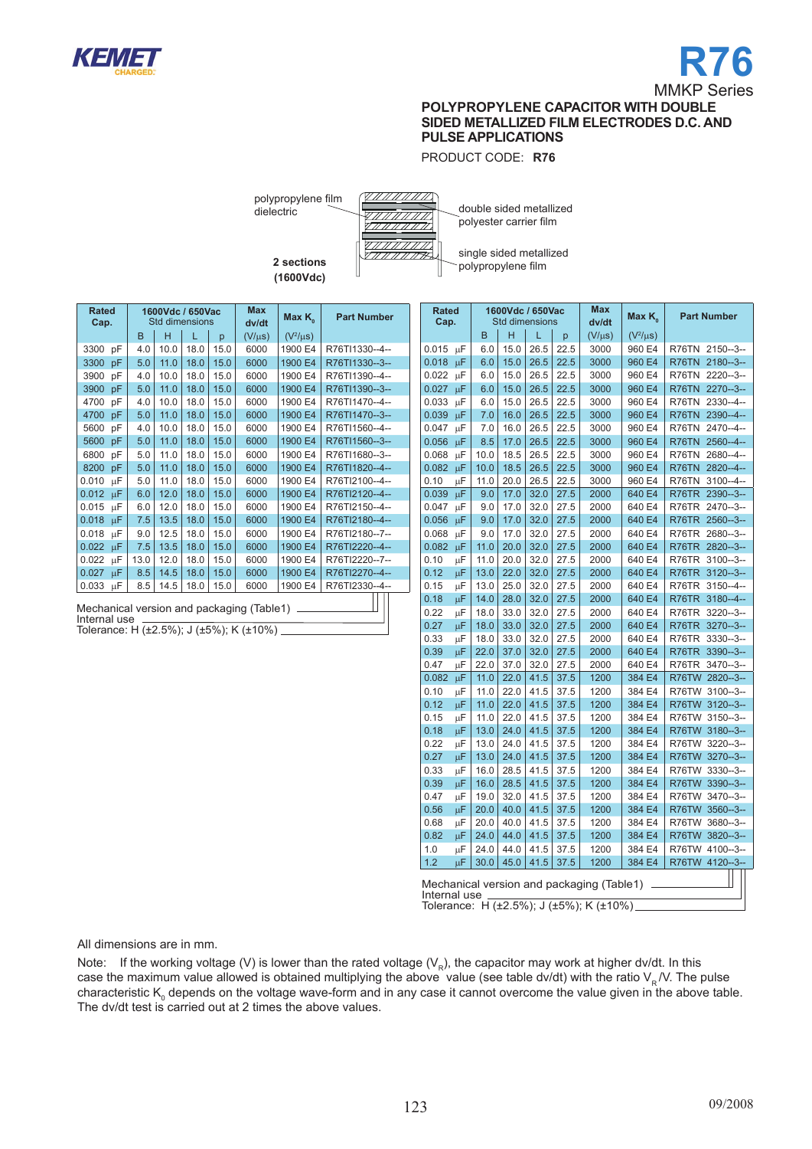

PRODUCT CODE: **R76**

polypropylene film dielectric

> **2 sections (1600Vdc)**



double sided metallized polyester carrier film

single sided metallized polypropylene film

| <b>Rated</b><br>Cap.                      | 1600Vdc / 650Vac<br><b>Std dimensions</b> |      |      |      | <b>Max</b><br>dv/dt | Max $K_{0}$   | <b>Part Number</b> |
|-------------------------------------------|-------------------------------------------|------|------|------|---------------------|---------------|--------------------|
|                                           | B                                         | н    | T    | p    | $(V/\mu s)$         | $(V^2/\mu s)$ |                    |
| 3300<br>рF                                | 4.0                                       | 10.0 | 18.0 | 15.0 | 6000                | 1900 E4       | R76TI1330--4--     |
| 3300<br>pF                                | 5.0                                       | 11.0 | 18.0 | 15.0 | 6000                | 1900 E4       | R76TI1330--3--     |
| 3900<br>pF                                | 4.0                                       | 10.0 | 18.0 | 15.0 | 6000                | 1900 E4       | R76TI1390--4--     |
| 3900<br>рF                                | 5.0                                       | 11.0 | 18.0 | 15.0 | 6000                | 1900 E4       | R76TI1390--3--     |
| 4700<br>pF                                | 4.0                                       | 10.0 | 18.0 | 15.0 | 6000                | 1900 E4       | R76TI1470--4--     |
| 4700<br>pF                                | 5.0                                       | 11.0 | 18.0 | 15.0 | 6000                | 1900 E4       | R76TI1470--3--     |
| 5600<br>рF                                | 4.0                                       | 10.0 | 18.0 | 15.0 | 6000                | 1900 E4       | R76TI1560--4--     |
| 5600<br>pF                                | 5.0                                       | 11.0 | 18.0 | 15.0 | 6000                | 1900 E4       | R76TI1560--3--     |
| 6800<br>pF                                | 5.0                                       | 11.0 | 18.0 | 15.0 | 6000                | 1900 E4       | R76TI1680--3--     |
| 8200<br>pF                                | 5.0                                       | 11.0 | 18.0 | 15.0 | 6000                | 1900 E4       | R76TI1820--4--     |
| 0.010<br>μF                               | 5.0                                       | 11.0 | 18.0 | 15.0 | 6000                | 1900 E4       | R76TI2100--4--     |
| 0.012<br>μF                               | 6.0                                       | 12.0 | 18.0 | 15.0 | 6000                | 1900 E4       | R76TI2120--4--     |
| 0.015<br>μF                               | 6.0                                       | 12.0 | 18.0 | 15.0 | 6000                | 1900 E4       | R76TI2150--4--     |
| 0.018<br>μF                               | 7.5                                       | 13.5 | 18.0 | 15.0 | 6000                | 1900 E4       | R76TI2180--4--     |
| 0.018<br>μF                               | 9.0                                       | 12.5 | 18.0 | 15.0 | 6000                | 1900 E4       | R76TI2180--7--     |
| 0.022<br>μF                               | 7.5                                       | 13.5 | 18.0 | 15.0 | 6000                | 1900 E4       | R76TI2220--4--     |
| 0.022<br>μF                               | 13.0                                      | 12.0 | 18.0 | 15.0 | 6000                | 1900 E4       | R76TI2220--7--     |
| 0.027<br>μF                               | 8.5                                       | 14.5 | 18.0 | 15.0 | 6000                | 1900 E4       | R76TI2270--4--     |
| 0.033<br>μF                               | 8.5                                       | 14.5 | 18.0 | 15.0 | 6000                | 1900 E4       | R76TI2330--4--     |
| Mechanical version and packaging (Table1) |                                           |      |      |      |                     |               |                    |

Internal use Tolerance: H  $(\pm 2.5\%)$ ; J  $(\pm 5\%)$ ; K  $(\pm 10\%)$ 

|              | Rated<br>1600Vdc / 650Vac<br><b>Std dimensions</b> |      | Max  | Max $K_{\scriptscriptstyle\alpha}$ | <b>Part Number</b> |                                           |               |                       |
|--------------|----------------------------------------------------|------|------|------------------------------------|--------------------|-------------------------------------------|---------------|-----------------------|
| Cap.         |                                                    |      |      |                                    |                    | dv/dt                                     |               |                       |
|              |                                                    | B    | н    | L                                  | p                  | $(V/\mu s)$                               | $(V^2/\mu s)$ |                       |
| 0.015        | μF                                                 | 6.0  | 15.0 | 26.5                               | 22.5               | 3000                                      | 960 E4        | R76TN<br>$2150 - 3 -$ |
| 0.018        | μF                                                 | 6.0  | 15.0 | 26.5                               | 22.5               | 3000                                      | 960 E4        | R76TN<br>$2180 - 3 -$ |
| 0.022        | μF                                                 | 6.0  | 15.0 | 26.5                               | 22.5               | 3000                                      | 960 E4        | R76TN<br>$2220 - 3 -$ |
| 0.027        | μF                                                 | 6.0  | 15.0 | 26.5                               | 22.5               | 3000                                      | 960 E4        | R76TN<br>$2270 - 3 -$ |
| 0.033        | μF                                                 | 6.0  | 15.0 | 26.5                               | 22.5               | 3000                                      | 960 E4        | R76TN<br>2330--4--    |
| 0.039        | μF                                                 | 7.0  | 16.0 | 26.5                               | 22.5               | 3000                                      | 960 E4        | $2390 - 4 -$<br>R76TN |
| 0.047        | μF                                                 | 7.0  | 16.0 | 26.5                               | 22.5               | 3000                                      | 960 E4        | R76TN<br>2470--4--    |
| 0.056        | μF                                                 | 8.5  | 17.0 | 26.5                               | 22.5               | 3000                                      | 960 E4        | 2560--4--<br>R76TN    |
| 0.068        | μF                                                 | 10.0 | 18.5 | 26.5                               | 22.5               | 3000                                      | 960 E4        | R76TN<br>2680--4--    |
| 0.082        | μF                                                 | 10.0 | 18.5 | 26.5                               | 22.5               | 3000                                      | 960 E4        | R76TN<br>2820--4--    |
| 0.10         | μF                                                 | 11.0 | 20.0 | 26.5                               | 22.5               | 3000                                      | 960 E4        | R76TN<br>3100--4--    |
| 0.039        | μF                                                 | 9.0  | 17.0 | 32.0                               | 27.5               | 2000                                      | 640 E4        | R76TR<br>$2390 - 3 -$ |
| 0.047        | μF                                                 | 9.0  | 17.0 | 32.0                               | 27.5               | 2000                                      | 640 E4        | R76TR<br>2470--3--    |
| 0.056        | μF                                                 | 9.0  | 17.0 | 32.0                               | 27.5               | 2000                                      | 640 E4        | R76TR<br>$2560 - 3 -$ |
| 0.068        | μF                                                 | 9.0  | 17.0 | 32.0                               | 27.5               | 2000                                      | 640 E4        | R76TR<br>2680-3-      |
| 0.082        | μF                                                 | 11.0 | 20.0 | 32.0                               | 27.5               | 2000                                      | 640 E4        | R76TR<br>2820-3-      |
| 0.10         | μF                                                 | 11.0 | 20.0 | 32.0                               | 27.5               | 2000                                      | 640 E4        | R76TR<br>$3100 - 3 -$ |
| 0.12         | μF                                                 | 13.0 | 22.0 | 32.0                               | 27.5               | 2000                                      | 640 E4        | R76TR<br>$3120 - 3 -$ |
| 0.15         | μF                                                 | 13.0 | 25.0 | 32.0                               | 27.5               | 2000                                      | 640 E4        | R76TR<br>$3150 - 4 -$ |
| 0.18         | μF                                                 | 14.0 | 28.0 | 32.0                               | 27.5               | 2000                                      | 640 E4        | R76TR<br>$3180 - 4 -$ |
| 0.22         | μF                                                 | 18.0 | 33.0 | 32.0                               | 27.5               | 2000                                      | 640 E4        | R76TR<br>$3220 - 3 -$ |
| 0.27         | μF                                                 | 18.0 | 33.0 | 32.0                               | 27.5               | 2000                                      | 640 E4        | R76TR<br>$3270 - 3 -$ |
| 0.33         | μF                                                 | 18.0 | 33.0 | 32.0                               | 27.5               | 2000                                      | 640 E4        | R76TR<br>$3330 - 3 -$ |
| 0.39         | μF                                                 | 22.0 | 37.0 | 32.0                               | 27.5               | 2000                                      | 640 E4        | $3390 - 3 -$<br>R76TR |
| 0.47         | μF                                                 | 22.0 | 37.0 | 32.0                               | 27.5               | 2000                                      | 640 E4        | R76TR<br>$3470 - 3 -$ |
| 0.082        | μF                                                 | 11.0 | 22.0 | 41.5                               | 37.5               | 1200                                      | 384 E4        | R76TW<br>2820--3--    |
| 0.10         | μF                                                 | 11.0 | 22.0 | 41.5                               | 37.5               | 1200                                      | 384 E4        | R76TW<br>$3100 - 3 -$ |
| 0.12         | μF                                                 | 11.0 | 22.0 | 41.5                               | 37.5               | 1200                                      | 384 E4        | R76TW<br>$3120 - 3 -$ |
| 0.15         | μF                                                 | 11.0 | 22.0 | 41.5                               | 37.5               | 1200                                      | 384 E4        | R76TW<br>$3150 - 3 -$ |
| 0.18         | μF                                                 | 13.0 | 24.0 | 41.5                               | 37.5               | 1200                                      | 384 E4        | R76TW<br>$3180 - 3 -$ |
| 0.22         | μF                                                 | 13.0 | 24.0 | 41.5                               | 37.5               | 1200                                      | 384 E4        | R76TW<br>3220--3--    |
| 0.27         | μF                                                 | 13.0 | 24.0 | 41.5                               | 37.5               | 1200                                      | 384 E4        | R76TW<br>$3270 - 3 -$ |
| 0.33         | μF                                                 | 16.0 | 28.5 | 41.5                               | 37.5               | 1200                                      | 384 E4        | R76TW<br>$3330 - 3 -$ |
| 0.39         | μF                                                 | 16.0 | 28.5 | 41.5                               | 37.5               | 1200                                      | 384 E4        | R76TW<br>$3390 - 3 -$ |
| 0.47         | μF                                                 | 19.0 | 32.0 | 41.5                               | 37.5               | 1200                                      | 384 E4        | R76TW<br>3470--3--    |
| 0.56         | μF                                                 | 20.0 | 40.0 | 41.5                               | 37.5               | 1200                                      | 384 E4        | R76TW<br>$3560 - 3 -$ |
| 0.68         | μF                                                 | 20.0 | 40.0 | 41.5                               | 37.5               | 1200                                      | 384 E4        | R76TW<br>3680--3--    |
| 0.82         | μF                                                 | 24.0 | 44.0 | 41.5                               | 37.5               | 1200                                      | 384 E4        | R76TW<br>3820--3--    |
| 1.0          | μF                                                 | 24.0 | 44.0 | 41.5                               | 37.5               | 1200                                      | 384 E4        | R76TW 4100--3--       |
| 1.2          | μF                                                 | 30.0 | 45.0 | 41.5                               | 37.5               | 1200                                      | 384 E4        | R76TW 4120--3--       |
|              |                                                    |      |      |                                    |                    |                                           |               |                       |
| Internal use |                                                    |      |      |                                    |                    | Mechanical version and packaging (Table1) |               |                       |

Tolerance: H (±2.5%); J (±5%); K (±10%)

All dimensions are in mm.

Note: If the working voltage (V) is lower than the rated voltage ( $V_R$ ), the capacitor may work at higher dv/dt. In this case the maximum value allowed is obtained multiplying the above value (see table dv/dt) with the ratio  $V_R N$ . The pulse characteristic K<sub>0</sub> depends on the voltage wave-form and in any case it cannot overcome the value given in the above table. The dv/dt test is carried out at 2 times the above values.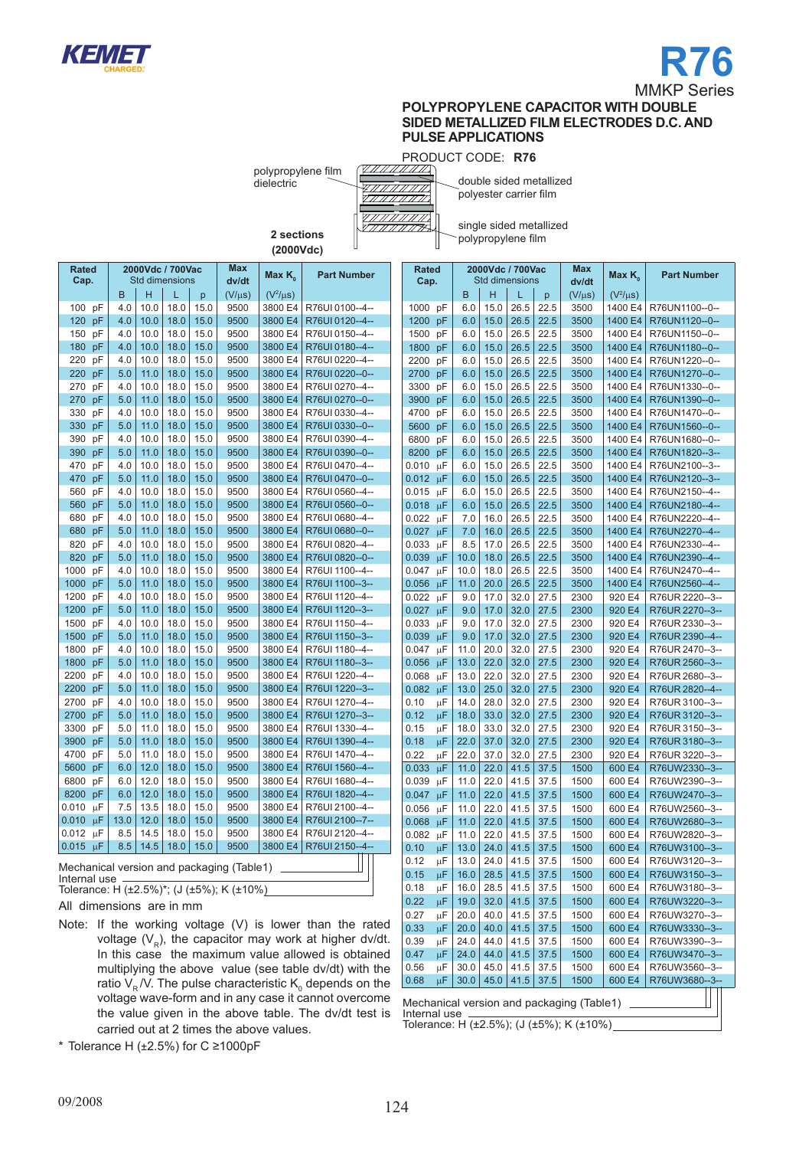



PRODUCT CODE: **R76**

polypropylene film dielectric



double sided metallized polyester carrier film

single sided metallized polypropylene film

**2 sections (2000Vdc)**

| <b>Rated</b> |    |                    | 2000Vdc / 700Vac |      |      | Max                                        | Max $K_{0}$   | <b>Part Number</b> |
|--------------|----|--------------------|------------------|------|------|--------------------------------------------|---------------|--------------------|
| Cap.         |    |                    | Std dimensions   |      |      | dv/dt                                      |               |                    |
|              |    | B                  | H                | L    | p    | $(V/\mu s)$                                | $(V^2/\mu s)$ |                    |
| 100          | pF | 4.0                | 10.0             | 18.0 | 15.0 | 9500                                       | 3800 E4       | R76UI 0100--4--    |
| 120          | pF | 4.0                | 10.0             | 18.0 | 15.0 | 9500                                       | 3800 E4       | R76UI 0120--4--    |
| 150          | pF | 4.0                | 10.0             | 18.0 | 15.0 | 9500                                       | 3800 E4       | R76UI 0150--4--    |
| 180          | pF | 4.0                | 10.0             | 18.0 | 15.0 | 9500                                       | 3800 E4       | R76UI 0180--4--    |
| 220          | pF | 4.0                | 10.0             | 18.0 | 15.0 | 9500                                       | 3800 E4       | R76UI 0220--4--    |
| 220          | pF | 5.0                | 11.0             | 18.0 | 15.0 | 9500                                       | 3800 E4       | R76UI 0220-0--     |
| 270          | pF | 4.0                | 10.0             | 18.0 | 15.0 | 9500                                       | 3800 E4       | R76UI 0270--4--    |
| 270          | pF | 5.0                | 11.0             | 18.0 | 15.0 | 9500                                       | 3800 E4       | R76UI 0270--0--    |
| 330          | pF | 4.0                | 10.0             | 18.0 | 15.0 | 9500                                       | 3800 E4       | R76UI 0330--4--    |
| 330          | pF | 5.0                | 11.0             | 18.0 | 15.0 | 9500                                       | 3800 E4       | R76UI 0330-0-      |
| 390          | pF | 4.0                | 10.0             | 18.0 | 15.0 | 9500                                       | 3800 E4       | R76UI 0390--4--    |
| 390          | pF | 5.0                | 11.0             | 18.0 | 15.0 | 9500                                       | 3800 E4       | R76UI 0390--0--    |
| 470          | pF | 4.0                | 10.0             | 18.0 | 15.0 | 9500                                       | 3800 E4       | R76UI 0470--4--    |
| 470          | pF | 5.0                | 11.0             | 18.0 | 15.0 | 9500                                       | 3800 E4       | R76UI 0470--0--    |
| 560          | pF | 4.0                | 10.0             | 18.0 | 15.0 | 9500                                       | 3800 E4       | R76UI 0560--4--    |
| 560          | pF | 5.0                | 11.0             | 18.0 | 15.0 | 9500                                       | 3800 E4       | R76UI 0560--0--    |
| 680          | pF | 4.0                | 10.0             | 18.0 | 15.0 | 9500                                       | 3800 E4       | R76UI 0680--4--    |
| 680          | pF | 5.0                | 11.0             | 18.0 | 15.0 | 9500                                       | 3800 E4       | R76UI 0680--0--    |
| 820          | pF | 4.0                | 10.0             | 18.0 | 15.0 | 9500                                       | 3800 E4       | R76UI 0820--4--    |
| 820          | pF | 5.0                | 11.0             | 18.0 | 15.0 | 9500                                       | 3800 E4       | R76UI 0820--0--    |
| 1000         | рF | 4.0                | 10.0             | 18.0 | 15.0 | 9500                                       | 3800 E4       | R76UI 1100--4--    |
| 1000         | pF | 5.0                | 11.0             | 18.0 | 15.0 | 9500                                       | 3800 E4       | R76UI 1100-3--     |
| 1200         | pF | 4.0                | 10.0             | 18.0 | 15.0 | 9500                                       | 3800 E4       | R76UI 1120--4--    |
| 1200         | pF | 5.0                | 11.0             | 18.0 | 15.0 | 9500                                       | 3800 E4       | R76UI 1120--3--    |
| 1500         | рF | 4.0                | 10.0             | 18.0 | 15.0 | 9500                                       | 3800 E4       | R76UI 1150--4--    |
| 1500         | pF | 5.0                | 11.0             | 18.0 | 15.0 | 9500                                       | 3800 E4       | R76UI 1150-3--     |
| 1800         | pF | 4.0                | 10.0             | 18.0 | 15.0 | 9500                                       | 3800 E4       | R76UI 1180--4--    |
| 1800         | pF | 5.0                | 11.0             | 18.0 | 15.0 | 9500                                       | 3800 E4       | R76UI 1180-3--     |
| 2200         | pF | 4.0                | 10.0             | 18.0 | 15.0 | 9500                                       | 3800 E4       | R76UI 1220--4--    |
| 2200         | pF | 5.0                | 11.0             | 18.0 | 15.0 | 9500                                       | 3800 E4       | R76UI 1220--3--    |
| 2700         | pF | 4.0                | 10.0             | 18.0 | 15.0 | 9500                                       | 3800 E4       | R76UI 1270--4--    |
| 2700         | pF | 5.0                | 11.0             | 18.0 | 15.0 | 9500                                       | 3800 E4       | R76UI 1270--3--    |
| 3300         | pF | 5.0                | 11.0             | 18.0 | 15.0 | 9500                                       | 3800 E4       | R76UI 1330--4--    |
| 3900         | pF | 5.0                | 11.0             | 18.0 | 15.0 | 9500                                       | 3800 E4       | R76UI 1390--4--    |
| 4700         | pF | 5.0                | 11.0             | 18.0 | 15.0 | 9500                                       | 3800 E4       | R76UI 1470--4--    |
| 5600         | pF | 6.0                | 12.0             | 18.0 | 15.0 | 9500                                       | 3800 E4       | R76UI 1560--4--    |
| 6800         | pF | 6.0                | 12.0             | 18.0 | 15.0 | 9500                                       | 3800 E4       | R76UI 1680--4--    |
| 8200         | pF | 6.0                | 12.0             | 18.0 | 15.0 | 9500                                       | 3800 E4       | R76UI 1820--4--    |
| 0.010        | μF | 7.5                | 13.5             | 18.0 | 15.0 | 9500                                       | 3800 E4       | R76UI 2100--4--    |
| 0.010        | μF | 13.0               | 12.0             | 18.0 | 15.0 | 9500                                       | 3800 E4       | R76UI 2100--7--    |
| 0.012        | μF | 8.5                | 14.5             | 18.0 | 15.0 | 9500                                       | 3800 E4       | R76UI 2120--4--    |
| 0.015        | μF | 8.5                | 14.5             | 18.0 | 15.0 | 9500                                       | 3800 E4       | R76UI 2150--4--    |
|              |    | والمواجز والمرجاني |                  | ساسم | $-1$ | $T_{\rm e}$ $T_{\rm e}$ $\sim$ $T_{\rm e}$ |               |                    |

Mechanical version and packaging (Table1) Internal use

Tolerance: H  $(\pm 2.5\%)^*$ ; (J  $(\pm 5\%)$ ; K  $(\pm 10\%)$ 

All dimensions are in mm

Note: If the working voltage (V) is lower than the rated voltage  $(V_R)$ , the capacitor may work at higher dv/dt. In this case the maximum value allowed is obtained multiplying the above value (see table dv/dt) with the ratio V $_{\textrm{\tiny{R}}}$ /V. The pulse characteristic K $_{\textrm{\tiny{0}}}$  depends on the voltage wave-form and in any case it cannot overcome the value given in the above table. The dv/dt test is carried out at 2 times the above values.

\* Tolerance H  $(\pm 2.5\%)$  for C ≥1000pF

|       | Rated         |      | 2000Vdc / 700Vac      |      |      | Max                                       | Max K <sub>。</sub> | <b>Part Number</b> |
|-------|---------------|------|-----------------------|------|------|-------------------------------------------|--------------------|--------------------|
| Cap.  |               |      | <b>Std dimensions</b> |      |      | dv/dt                                     |                    |                    |
|       |               | B    | H                     | L    | p    | $(V/\mu s)$                               | $(V^2/\mu s)$      |                    |
| 1000  | рF            | 6.0  | 15.0                  | 26.5 | 22.5 | 3500                                      | 1400 E4            | R76UN1100--0--     |
| 1200  | pF            | 6.0  | 15.0                  | 26.5 | 22.5 | 3500                                      | 1400 E4            | R76UN1120--0--     |
| 1500  | pF            | 6.0  | 15.0                  | 26.5 | 22.5 | 3500                                      | 1400 E4            | R76UN1150--0--     |
| 1800  | pF            | 6.0  | 15.0                  | 26.5 | 22.5 | 3500                                      | 1400 E4            | R76UN1180--0--     |
| 2200  | рF            | 6.0  | 15.0                  | 26.5 | 22.5 | 3500                                      | 1400 E4            | R76UN1220--0--     |
| 2700  | pF            | 6.0  | 15.0                  | 26.5 | 22.5 | 3500                                      | 1400 E4            | R76UN1270--0--     |
| 3300  | рF            | 6.0  | 15.0                  | 26.5 | 22.5 | 3500                                      | 1400 E4            | R76UN1330--0--     |
| 3900  | pF            | 6.0  | 15.0                  | 26.5 | 22.5 | 3500                                      | 1400 E4            | R76UN1390--0--     |
| 4700  | рF            | 6.0  | 15.0                  | 26.5 | 22.5 | 3500                                      | 1400 E4            | R76UN1470--0--     |
| 5600  | pF            | 6.0  | 15.0                  | 26.5 | 22.5 | 3500                                      | 1400 E4            | R76UN1560--0--     |
| 6800  | рF            | 6.0  | 15.0                  | 26.5 | 22.5 | 3500                                      | 1400 E4            | R76UN1680--0--     |
| 8200  | pF            | 6.0  | 15.0                  | 26.5 | 22.5 | 3500                                      | 1400 E4            | R76UN1820--3--     |
| 0.010 | μF            | 6.0  | 15.0                  | 26.5 | 22.5 | 3500                                      | 1400 E4            | R76UN2100--3--     |
| 0.012 | μF            | 6.0  | 15.0                  | 26.5 | 22.5 | 3500                                      | 1400 E4            | R76UN2120--3--     |
| 0.015 | μF            | 6.0  | 15.0                  | 26.5 | 22.5 | 3500                                      | 1400 E4            | R76UN2150--4--     |
| 0.018 | μF            | 6.0  | 15.0                  | 26.5 | 22.5 | 3500                                      | 1400 E4            | R76UN2180--4--     |
| 0.022 | μF            | 7.0  | 16.0                  | 26.5 | 22.5 | 3500                                      | 1400 E4            | R76UN2220--4--     |
| 0.027 | μF            | 7.0  | 16.0                  | 26.5 | 22.5 | 3500                                      | 1400 E4            | R76UN2270--4--     |
| 0.033 | μF            | 8.5  | 17.0                  | 26.5 | 22.5 | 3500                                      | 1400 E4            | R76UN2330--4--     |
| 0.039 | μF            | 10.0 | 18.0                  | 26.5 | 22.5 | 3500                                      | 1400 E4            | R76UN2390--4--     |
| 0.047 | μF            | 10.0 | 18.0                  | 26.5 | 22.5 | 3500                                      | 1400 E4            | R76UN2470--4--     |
| 0.056 | μF            | 11.0 | 20.0                  | 26.5 | 22.5 | 3500                                      | 1400 E4            | R76UN2560--4--     |
| 0.022 | μF            | 9.0  | 17.0                  | 32.0 | 27.5 | 2300                                      | 920 E4             | R76UR 2220--3--    |
| 0.027 | μF            | 9.0  | 17.0                  | 32.0 | 27.5 | 2300                                      | 920 E4             | R76UR 2270--3--    |
| 0.033 | μF            | 9.0  | 17.0                  | 32.0 | 27.5 | 2300                                      | 920 E4             | R76UR 2330--3--    |
| 0.039 | μF            | 9.0  | 17.0                  | 32.0 | 27.5 | 2300                                      | 920 E4             | R76UR 2390--4--    |
| 0.047 | μF            | 11.0 | 20.0                  | 32.0 | 27.5 | 2300                                      | 920 E4             | R76UR 2470--3--    |
| 0.056 | μF            | 13.0 | 22.0                  | 32.0 | 27.5 | 2300                                      | 920 E4             | R76UR 2560--3--    |
| 0.068 | μF            | 13.0 | 22.0                  | 32.0 | 27.5 | 2300                                      | 920 E4             | R76UR 2680--3--    |
| 0.082 | μF            | 13.0 | 25.0                  | 32.0 | 27.5 | 2300                                      | 920 E4             | R76UR 2820--4--    |
| 0.10  | μF            | 14.0 | 28.0                  | 32.0 | 27.5 | 2300                                      | 920 E4             | R76UR 3100--3--    |
| 0.12  | μF            | 18.0 | 33.0                  | 32.0 | 27.5 | 2300                                      | 920 E4             | R76UR 3120--3--    |
| 0.15  | μF            | 18.0 | 33.0                  | 32.0 | 27.5 | 2300                                      | 920 E4             | R76UR 3150--3--    |
| 0.18  | μF            | 22.0 | 37.0                  | 32.0 | 27.5 | 2300                                      | 920 E4             | R76UR 3180--3--    |
| 0.22  | μF            | 22.0 | 37.0                  | 32.0 | 27.5 | 2300                                      | 920 E4             | R76UR 3220--3--    |
| 0.033 | μF            | 11.0 | 22.0                  | 41.5 | 37.5 | 1500                                      | 600 E4             | R76UW2330--3--     |
| 0.039 | μF            | 11.0 | 22.0                  | 41.5 | 37.5 | 1500                                      | 600 E4             | R76UW2390--3--     |
| 0.047 | μF            | 11.0 | 22.0                  | 41.5 | 37.5 | 1500                                      | 600 E4             | R76UW2470--3--     |
| 0.056 | μF            | 11.0 | 22.0                  | 41.5 | 37.5 | 1500                                      | 600 E4             | R76UW2560--3--     |
| 0.068 | μF            | 11.0 | 22.0                  | 41.5 | 37.5 | 1500                                      | 600 E4             | R76UW2680--3--     |
| 0.082 | μF            | 11.0 | 22.0                  | 41.5 | 37.5 | 1500                                      | 600 E4             | R76UW2820--3--     |
| 0.10  | μF            | 13.0 | 24.0                  | 41.5 | 37.5 | 1500                                      | 600 E4             | R76UW3100--3--     |
| 0.12  | μF            | 13.0 | 24.0                  | 41.5 | 37.5 | 1500                                      | 600 E4             | R76UW3120--3--     |
| 0.15  | $\mu\text{F}$ | 16.0 | 28.5                  | 41.5 | 37.5 | 1500                                      | 600 E4             | R76UW3150--3--     |
| 0.18  | μF            | 16.0 | 28.5                  | 41.5 | 37.5 | 1500                                      | 600 E4             | R76UW3180--3--     |
| 0.22  | μF            | 19.0 | 32.0                  | 41.5 | 37.5 | 1500                                      | 600 E4             | R76UW3220--3--     |
| 0.27  | μF            | 20.0 | 40.0                  | 41.5 | 37.5 | 1500                                      | 600 E4             | R76UW3270--3--     |
| 0.33  | μF            | 20.0 | 40.0                  | 41.5 | 37.5 | 1500                                      | 600 E4             | R76UW3330--3--     |
| 0.39  | μF            | 24.0 | 44.0                  | 41.5 | 37.5 | 1500                                      | 600 E4             | R76UW3390--3--     |
| 0.47  | μF            | 24.0 | 44.0                  | 41.5 | 37.5 | 1500                                      | 600 E4             | R76UW3470--3--     |
| 0.56  | μF            | 30.0 | 45.0                  | 41.5 | 37.5 | 1500                                      | 600 E4             | R76UW3560--3--     |
| 0.68  | μF            | 30.0 | 45.0                  | 41.5 | 37.5 | 1500                                      | 600 E4             | R76UW3680--3--     |
|       |               |      |                       |      |      | Mechanical version and packaging (Table1) |                    |                    |

Internal use Tolerance: H (±2.5%); (J (±5%); K (±10%)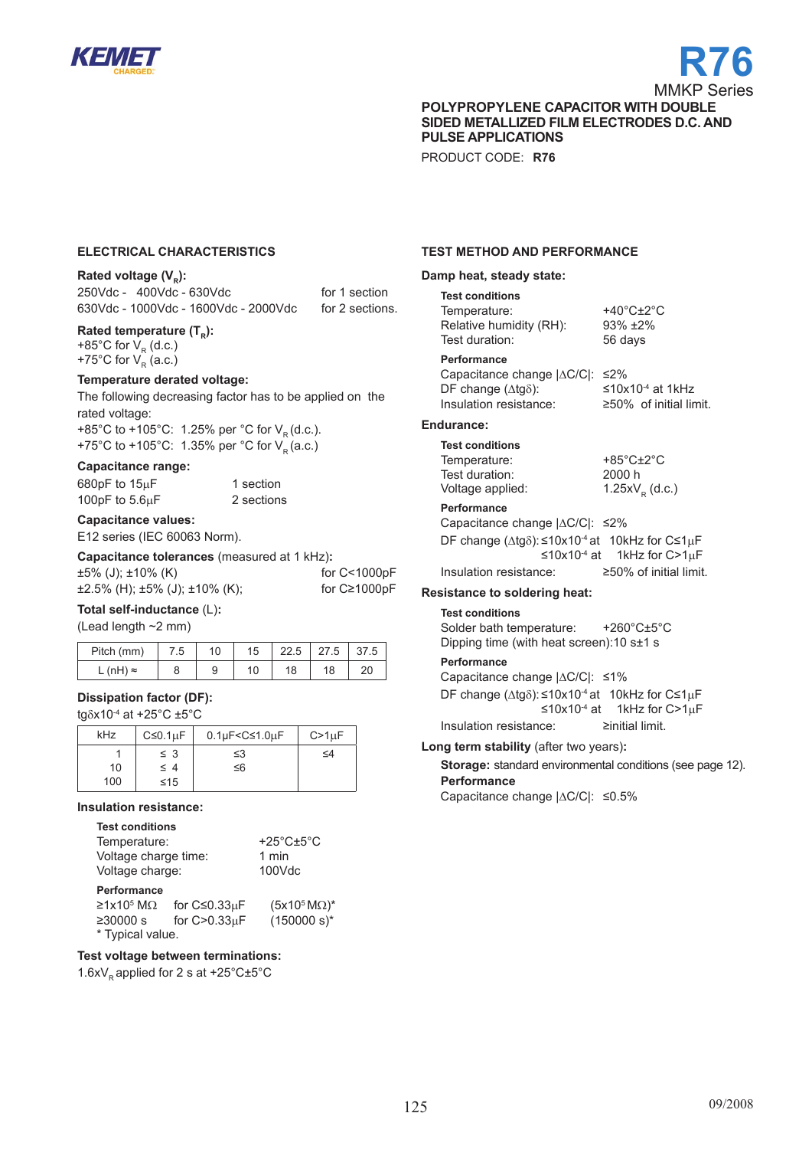

# **R76** MMKP Series

**polyPROPYLENE capacitor WITH DOUBLE SIDED METALLIZED FILM ELECTRODES D.C. AND PULSE APPLICATIONS**

PRODUCT CODE: **R76**

#### **electrical characteristics**

#### **Rated voltage (V<sub>R</sub>):**

 $250 \text{Vdc} - 400 \text{Vdc} - 630 \text{Vdc}$  for 1 section 630Vdc - 1000Vdc - 1600Vdc - 2000Vdc for 2 sections.

**Rated temperature (T<sub>p</sub>):** +85°C for  $\mathsf{V}_{\mathsf{R}}^{\phantom{\dag}}$  (d.c.) +75°C for V<sub>R</sub> (a.c.)

#### **Temperature derated voltage:**

The following decreasing factor has to be applied on the rated voltage: +85°C to +105°C: 1.25% per °C for  $V_{\rm p}$  (d.c.).

+75°C to +105°C: 1.35% per °C for  $V_R$  (a.c.)

#### **Capacitance range:**

680pF to 15uF 1 section 100pF to 5.6µF 2 sections

#### **Capacitance values:**

E12 series (IEC 60063 Norm).

#### **Capacitance tolerances** (measured at 1 kHz)**:**

±5% (J); ±10% (K) for C<1000pF ±2.5% (H); ±5% (J); ±10% (K); for C≥1000pF

**Total self-inductance** (L)**:**

(Lead length ~2 mm)

| Pitch (mm) | 7.5 | 15 |    | 27.5 | 37.5 |
|------------|-----|----|----|------|------|
| ∟ (nH) ≈   | o   |    | 18 | 18   | 20   |

### **Dissipation factor (DF):**

tgδx10-4 at +25°C ±5°C

| kHz | $C \leq 0.1 \mu F$ | $0.1 \mu$ F <c<math>\leq 1.0 \muF</c<math> | $C>1\mu F$ |
|-----|--------------------|--------------------------------------------|------------|
|     | $\leq$ 3           | ≤3                                         | ≤4         |
| 10  | $\leq 4$           | ≤6                                         |            |
| 100 | ≤15                |                                            |            |

#### **Insulation resistance:**

| <b>Test conditions</b><br>Temperature:<br>Voltage charge time:<br>Voltage charge: | +25 $^{\circ}$ C $\pm$ 5 $^{\circ}$ C<br>1 min<br>$100$ $Vdc$ |                    |  |  |  |  |
|-----------------------------------------------------------------------------------|---------------------------------------------------------------|--------------------|--|--|--|--|
| Performance                                                                       |                                                               |                    |  |  |  |  |
| $≥1x105$ MΩ                                                                       | for $C \leq 0.33 \mu F$                                       | $(5x105 M\Omega)*$ |  |  |  |  |
| ≥30000 s                                                                          | $(150000 s)^*$                                                |                    |  |  |  |  |
| for $C>0.33\mu F$<br>* Typical value.                                             |                                                               |                    |  |  |  |  |

# **Test voltage between terminations:**

1.6xV<sub>p</sub> applied for 2 s at +25 $^{\circ}$ C $\pm$ 5 $^{\circ}$ C

### **test method and performance**

#### **Damp heat, steady state:**

#### **Test conditions**

| <b>B f</b>              |                                      |
|-------------------------|--------------------------------------|
| Test duration:          | 56 days                              |
| Relative humidity (RH): | $93\% + 2\%$                         |
| Temperature:            | $+40^{\circ}$ C $\pm$ 2 $^{\circ}$ C |
|                         |                                      |

#### **Performance** Capacitance change |∆C/C|: ≤2%

| Capacitatice cridities $ \Delta C/C $ . $\geq$ 2.70 |                              |
|-----------------------------------------------------|------------------------------|
| DF change $(\Delta t \alpha \delta)$ :              | ≤10x10 <sup>-4</sup> at 1kHz |
| Insulation resistance:                              | $\geq$ 50% of initial limit. |
|                                                     |                              |

#### **Endurance:**

| <b>Test conditions</b> |                                      |
|------------------------|--------------------------------------|
| Temperature:           | $+85^{\circ}$ C $\pm$ 2 $^{\circ}$ C |
| Test duration:         | 2000h                                |
| Voltage applied:       | 1.25x $V_R$ (d.c.)                   |
|                        |                                      |

#### **Performance**

| Capacitance change $ \Delta C/C $ : $\leq 2\%$                                           |                                              |
|------------------------------------------------------------------------------------------|----------------------------------------------|
| DF change ( $\Delta$ tg $\delta$ ): $\leq$ 10x10 <sup>-4</sup> at 10kHz for C $\leq$ 1µF |                                              |
|                                                                                          | $\leq$ 10x10 <sup>-4</sup> at 1kHz for C>1uF |
| Insulation resistance:                                                                   | ≥50% of initial limit.                       |

#### **Resistance to soldering heat:**

#### **Test conditions**

Solder bath temperature: +260°C±5°C Dipping time (with heat screen):10 s±1 s

#### **Performance**

Capacitance change |∆C/C|: ≤1% DF change (∆tgδ):≤10x10-4 at 110kHz for C≤1µF ≤10x10<sup>-4</sup> at 1kHz for C>1uF Insulation resistance: ≥initial limit.

#### **Long term stability** (after two years)**:**

**Storage:** standard environmental conditions (see page 12). **Performance**

Capacitance change |∆C/C|: ≤0.5%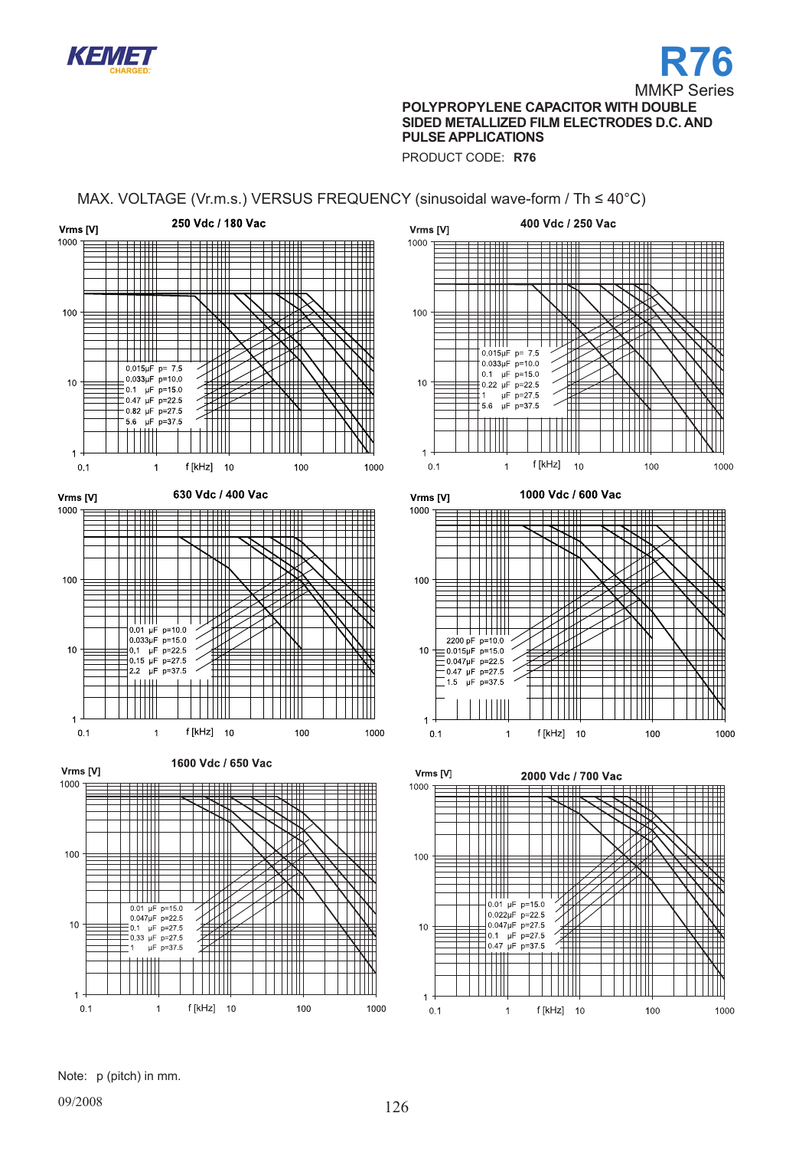



PRODUCT CODE: **R76**

# MAX. VOLTAGE (Vr.m.s.) VERSUS FREQUENCY (sinusoidal wave-form / Th ≤ 40°C)



Note: p (pitch) in mm.